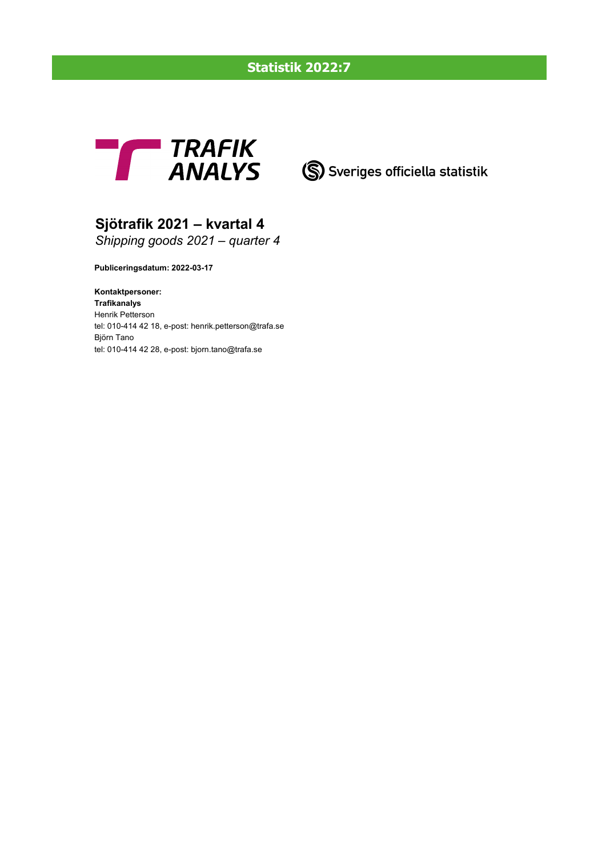# **Statistik 2022:7**

# **THE TRAFIK<br>ANALYS** (S) Sveriges officiella statistik

# **Sjötrafik 2021 – kvartal 4**

*Shipping goods 2021 – quarter 4*

**Publiceringsdatum: 2022-03-17**

**Kontaktpersoner: Trafikanalys** Henrik Petterson tel: 010-414 42 18, e-post: henrik.petterson@trafa.se Björn Tano tel: 010-414 42 28, e-post: bjorn.tano@trafa.se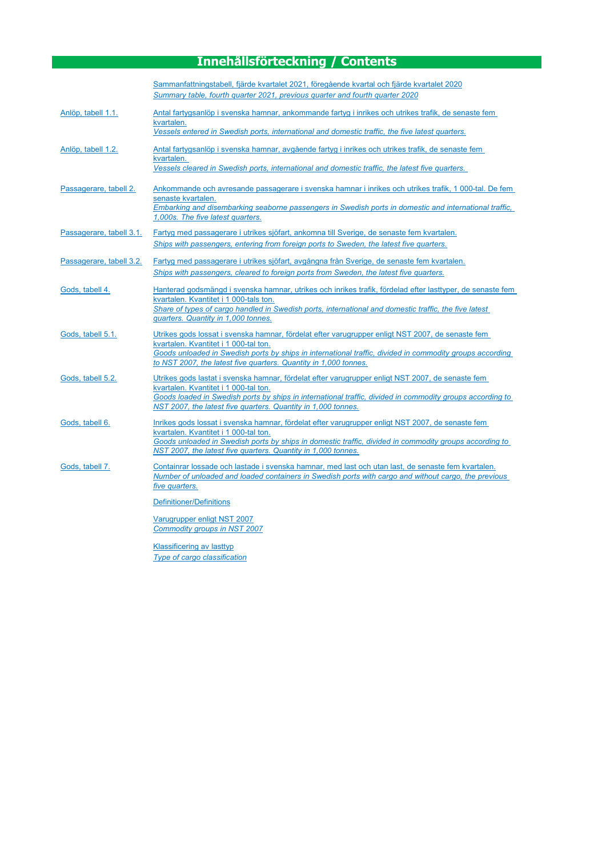# **Innehållsförteckning / Contents**

|                          | Sammanfattningstabell, fjärde kvartalet 2021, föregående kvartal och fjärde kvartalet 2020<br>Summary table, fourth quarter 2021, previous quarter and fourth quarter 2020                                                                                                                                                |
|--------------------------|---------------------------------------------------------------------------------------------------------------------------------------------------------------------------------------------------------------------------------------------------------------------------------------------------------------------------|
| Anlöp, tabell 1.1.       | Antal fartygsanlöp i svenska hamnar, ankommande fartyg i inrikes och utrikes trafik, de senaste fem<br>kvartalen.<br>Vessels entered in Swedish ports, international and domestic traffic, the five latest quarters.                                                                                                      |
| Anlöp, tabell 1.2.       | Antal fartygsanlöp i svenska hamnar, avgående fartyg i inrikes och utrikes trafik, de senaste fem<br>kvartalen.<br>Vessels cleared in Swedish ports, international and domestic traffic, the latest five quarters.                                                                                                        |
| Passagerare, tabell 2.   | Ankommande och avresande passagerare i svenska hamnar i inrikes och utrikes trafik, 1 000-tal. De fem<br>senaste kvartalen.<br>Embarking and disembarking seaborne passengers in Swedish ports in domestic and international traffic,<br>1,000s. The five latest quarters.                                                |
| Passagerare, tabell 3.1. | Fartyg med passagerare i utrikes sjöfart, ankomna till Sverige, de senaste fem kvartalen.<br>Ships with passengers, entering from foreign ports to Sweden, the latest five quarters.                                                                                                                                      |
| Passagerare, tabell 3.2. | Fartyg med passagerare i utrikes sjöfart, avgångna från Sverige, de senaste fem kvartalen.<br>Ships with passengers, cleared to foreign ports from Sweden, the latest five quarters.                                                                                                                                      |
| Gods, tabell 4.          | Hanterad godsmängd i svenska hamnar, utrikes och inrikes trafik, fördelad efter lasttyper, de senaste fem<br>kvartalen. Kvantitet i 1 000-tals ton.<br>Share of types of cargo handled in Swedish ports, international and domestic traffic, the five latest<br>quarters. Quantity in 1,000 tonnes.                       |
| Gods, tabell 5.1.        | Utrikes gods lossat i svenska hamnar, fördelat efter varugrupper enligt NST 2007, de senaste fem<br>kvartalen. Kvantitet i 1 000-tal ton.<br>Goods unloaded in Swedish ports by ships in international traffic, divided in commodity groups according<br>to NST 2007, the latest five quarters. Quantity in 1,000 tonnes. |
| Gods, tabell 5.2.        | Utrikes gods lastat i svenska hamnar, fördelat efter varugrupper enligt NST 2007, de senaste fem<br>kvartalen. Kvantitet i 1 000-tal ton.<br>Goods loaded in Swedish ports by ships in international traffic, divided in commodity groups according to<br>NST 2007, the latest five quarters. Quantity in 1,000 tonnes.   |
| Gods, tabell 6.          | Inrikes gods lossat i svenska hamnar, fördelat efter varugrupper enligt NST 2007, de senaste fem<br>kvartalen. Kvantitet i 1 000-tal ton.<br>Goods unloaded in Swedish ports by ships in domestic traffic, divided in commodity groups according to<br>NST 2007, the latest five quarters. Quantity in 1,000 tonnes.      |
| Gods, tabell 7.          | Containrar lossade och lastade i svenska hamnar, med last och utan last, de senaste fem kvartalen.<br>Number of unloaded and loaded containers in Swedish ports with cargo and without cargo, the previous<br>five quarters.                                                                                              |
|                          | Definitioner/Definitions<br>Varugrupper enligt NST 2007<br>Commodity groups in NST 2007<br><b>Klassificering av lasttyp</b>                                                                                                                                                                                               |
|                          | Type of cargo classification                                                                                                                                                                                                                                                                                              |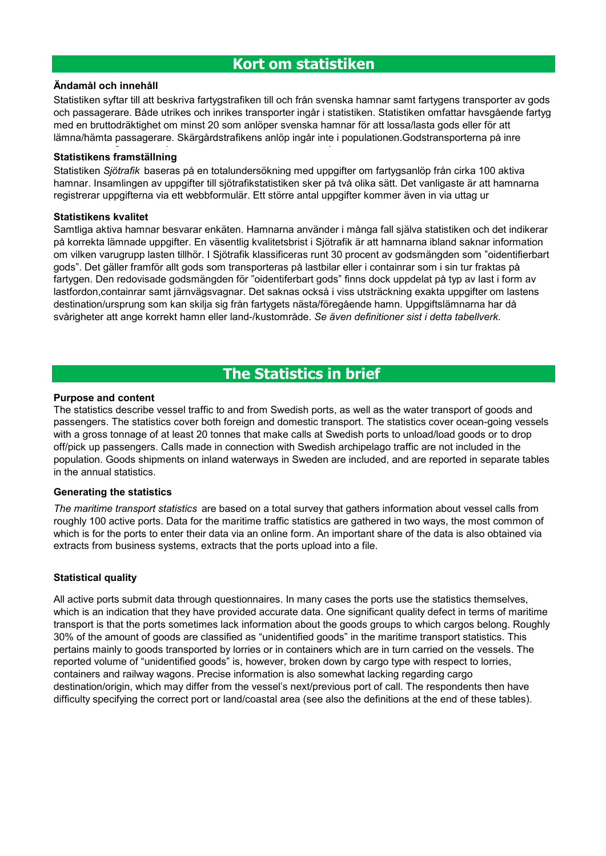# **Ändamål och innehåll**

Statistiken syftar till att beskriva fartygstrafiken till och från svenska hamnar samt fartygens transporter av gods och passagerare. Både utrikes och inrikes transporter ingår i statistiken. Statistiken omfattar havsgående fartyg med en bruttodräktighet om minst 20 som anlöper svenska hamnar för att lossa/lasta gods eller för att lämna/hämta passagerare. Skärgårdstrafikens anlöp ingår inte i populationen.Godstransporterna på inre

# **Statistikens framställning**

Statistiken *Sjötrafik* baseras på en totalundersökning med uppgifter om fartygsanlöp från cirka 100 aktiva hamnar. Insamlingen av uppgifter till sjötrafikstatistiken sker på två olika sätt. Det vanligaste är att hamnarna registrerar uppgifterna via ett webbformulär. Ett större antal uppgifter kommer även in via uttag ur

# **Statistikens kvalitet**

Samtliga aktiva hamnar besvarar enkäten. Hamnarna använder i många fall själva statistiken och det indikerar på korrekta lämnade uppgifter. En väsentlig kvalitetsbrist i Sjötrafik är att hamnarna ibland saknar information om vilken varugrupp lasten tillhör. I Sjötrafik klassificeras runt 30 procent av godsmängden som "oidentifierbart gods". Det gäller framför allt gods som transporteras på lastbilar eller i containrar som i sin tur fraktas på fartygen. Den redovisade godsmängden för "oidentiferbart gods" finns dock uppdelat på typ av last i form av lastfordon,containrar samt järnvägsvagnar. Det saknas också i viss utsträckning exakta uppgifter om lastens destination/ursprung som kan skilja sig från fartygets nästa/föregående hamn. Uppgiftslämnarna har då svårigheter att ange korrekt hamn eller land-/kustområde. *Se även definitioner sist i detta tabellverk.* 

# **The Statistics in brief**

## **Purpose and content**

The statistics describe vessel traffic to and from Swedish ports, as well as the water transport of goods and passengers. The statistics cover both foreign and domestic transport. The statistics cover ocean-going vessels with a gross tonnage of at least 20 tonnes that make calls at Swedish ports to unload/load goods or to drop off/pick up passengers. Calls made in connection with Swedish archipelago traffic are not included in the population. Goods shipments on inland waterways in Sweden are included, and are reported in separate tables in the annual statistics.

## **Generating the statistics**

*The maritime transport statistics* are based on a total survey that gathers information about vessel calls from roughly 100 active ports. Data for the maritime traffic statistics are gathered in two ways, the most common of which is for the ports to enter their data via an online form. An important share of the data is also obtained via extracts from business systems, extracts that the ports upload into a file.

# **Statistical quality**

All active ports submit data through questionnaires. In many cases the ports use the statistics themselves, which is an indication that they have provided accurate data. One significant quality defect in terms of maritime transport is that the ports sometimes lack information about the goods groups to which cargos belong. Roughly 30% of the amount of goods are classified as "unidentified goods" in the maritime transport statistics. This pertains mainly to goods transported by lorries or in containers which are in turn carried on the vessels. The reported volume of "unidentified goods" is, however, broken down by cargo type with respect to lorries, containers and railway wagons. Precise information is also somewhat lacking regarding cargo destination/origin, which may differ from the vessel's next/previous port of call. The respondents then have difficulty specifying the correct port or land/coastal area (see also the definitions at the end of these tables).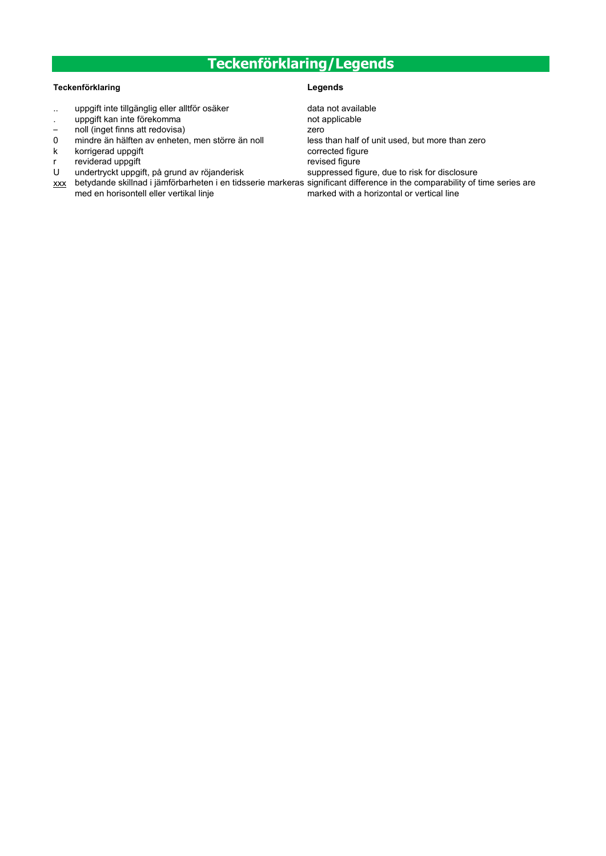# **Teckenförklaring/Legends**

## **Teckenförklaring Legends**

- .. uppgift inte tillgänglig eller alltför osäker data not available
- uppgift kan inte förekomma not applicable
- noll (inget finns att redovisa) zero
- 0 mindre än hälften av enheten, men större än noll less than half of unit used, but more than zero
- k korrigerad uppgift corrected figure
- reviderad uppgift **revised figure** revised figure
- U undertryckt uppgift, på grund av röjanderisk suppressed figure, due to risk for disclosure
- <u>xxx</u> betydande skillnad i jämförbarheten i en tidsserie markeras significant difference in the comparability of time series are med en horisontell eller vertikal linje marked with a horizontal or vertical line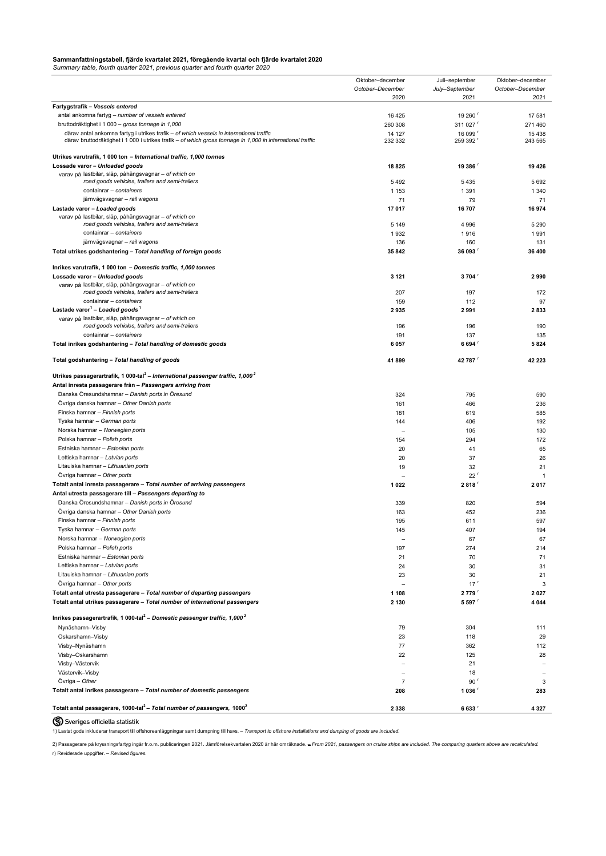|                                                                                                            | Oktober-december         | Juli-september      | Oktober-december |
|------------------------------------------------------------------------------------------------------------|--------------------------|---------------------|------------------|
|                                                                                                            | October-December         | July-September      | October-December |
|                                                                                                            | 2020                     | 2021                | 2021             |
| Fartygstrafik - Vessels entered                                                                            |                          |                     |                  |
| antal ankomna fartyg - number of vessels entered                                                           | 16 4 25                  | 19 260              | 17581            |
| bruttodräktighet i 1 000 - gross tonnage in 1,000                                                          | 260 308                  | 311 027             | 271 460          |
| därav antal ankomna fartyg i utrikes trafik - of which vessels in international traffic                    | 14 127                   | 16 099 <sup>r</sup> | 15438            |
| därav bruttodräktighet i 1 000 i utrikes trafik - of which gross tonnage in 1,000 in international traffic | 232 332                  | 259 392             | 243 565          |
| Utrikes varutrafik, 1 000 ton - International traffic, 1,000 tonnes                                        |                          |                     |                  |
| Lossade varor - Unloaded goods                                                                             | 18825                    | 19 386              | 19 4 26          |
| varav på lastbilar, släp, påhängsvagnar - of which on                                                      |                          |                     |                  |
| road goods vehicles, trailers and semi-trailers                                                            | 5492                     | 5435                | 5692             |
| containrar - containers                                                                                    | 1 1 5 3                  | 1 3 9 1             | 1 3 4 0          |
| järnvägsvagnar - rail wagons                                                                               | 71                       | 79                  | 71               |
| Lastade varor - Loaded goods                                                                               | 17 017                   | 16707               | 16974            |
| varav på lastbilar, släp, påhängsvagnar - of which on                                                      |                          |                     |                  |
| road goods vehicles, trailers and semi-trailers                                                            | 5 1 4 9                  | 4 9 9 6             | 5 2 9 0          |
| containrar – containers                                                                                    | 1932                     | 1916                | 1991             |
| järnvägsvagnar - rail wagons                                                                               | 136                      | 160                 | 131              |
| Total utrikes godshantering - Total handling of foreign goods                                              | 35 842                   | 36 093              | 36 400           |
| Inrikes varutrafik, 1 000 ton - Domestic traffic, 1,000 tonnes                                             |                          |                     |                  |
| Lossade varor - Unloaded goods                                                                             | 3 1 2 1                  | 3 704               | 2990             |
| varav på lastbilar, släp, påhängsvagnar - of which on                                                      |                          |                     |                  |
| road goods vehicles, trailers and semi-trailers                                                            | 207                      | 197                 | 172              |
| containrar - containers                                                                                    | 159                      | 112                 | 97               |
| Lastade varor <sup>1</sup> - Loaded goods <sup>1</sup>                                                     | 2935                     | 2991                | 2833             |
| varav på lastbilar, släp, påhängsvagnar - of which on                                                      |                          |                     |                  |
| road goods vehicles, trailers and semi-trailers                                                            | 196                      | 196                 | 190              |
| containrar - containers                                                                                    | 191                      | 137                 | 135              |
| Total inrikes godshantering - Total handling of domestic goods                                             | 6 0 5 7                  | 6 694               | 5824             |
| Total godshantering - Total handling of goods                                                              | 41899                    | 42 787              | 42 223           |
|                                                                                                            |                          |                     |                  |
| Utrikes passagerartrafik, 1 000-tal <sup>2</sup> – International passenger traffic, 1,000 <sup>2</sup>     |                          |                     |                  |
| Antal inresta passagerare från - Passengers arriving from                                                  |                          |                     |                  |
| Danska Öresundshamnar - Danish ports in Öresund                                                            | 324                      | 795                 | 590              |
| Övriga danska hamnar - Other Danish ports                                                                  | 161                      | 466                 | 236              |
| Finska hamnar - Finnish ports                                                                              | 181                      | 619                 | 585              |
| Tyska hamnar - German ports                                                                                | 144                      | 406                 | 192              |
| Norska hamnar - Norwegian ports                                                                            |                          | 105                 | 130              |
| Polska hamnar - Polish ports                                                                               | 154                      | 294                 | 172              |
| Estniska hamnar - Estonian ports                                                                           | 20                       | 41                  | 65               |
| Lettiska hamnar - Latvian ports                                                                            | 20                       | 37                  | 26               |
| Litauiska hamnar - Lithuanian ports                                                                        | 19                       | 32                  | 21               |
| Övriga hamnar - Other ports                                                                                |                          | 22 <sup>r</sup>     | $\overline{1}$   |
| Totalt antal inresta passagerare - Total number of arriving passengers                                     | 1 0 2 2                  | 2 818               | 2017             |
| Antal utresta passagerare till - Passengers departing to                                                   |                          |                     |                  |
| Danska Öresundshamnar - Danish ports in Öresund                                                            | 339                      | 820                 | 594              |
| Övriga danska hamnar - Other Danish ports                                                                  | 163                      | 452                 | 236              |
| Finska hamnar - Finnish ports                                                                              | 195                      | 611                 | 597              |
| Tyska hamnar - German ports                                                                                | 145                      | 407                 | 194              |
| Norska hamnar - Norwegian ports                                                                            | $\overline{\phantom{0}}$ | 67                  | 67               |
| Polska hamnar - Polish ports                                                                               | 197                      | 274                 | 214              |
| Estniska hamnar - Estonian ports                                                                           | 21                       | 70                  | 71               |
| Lettiska hamnar - Latvian ports                                                                            | 24                       | 30                  | 31               |
| Litauiska hamnar - Lithuanian ports                                                                        | 23                       | 30                  | 21               |
| Övriga hamnar - Other ports                                                                                |                          | 17 <sup>r</sup>     | 3                |
| Totalt antal utresta passagerare - Total number of departing passengers                                    | 1 1 0 8                  | 2 779               | 2 0 2 7          |
| Totalt antal utrikes passagerare - Total number of international passengers                                | 2 1 3 0                  | 5 5 9 7             | 4 0 4 4          |
|                                                                                                            |                          |                     |                  |
| Inrikes passagerartrafik, 1 000-tal <sup>2</sup> - Domestic passenger traffic, 1,000 <sup>2</sup>          |                          |                     |                  |
| Nynäshamn-Visby                                                                                            | 79                       | 304                 | 111              |
| Oskarshamn-Visby                                                                                           | 23                       | 118                 | 29               |
| Visby-Nynäshamn                                                                                            | 77                       | 362                 | 112              |
| Visby-Oskarshamn                                                                                           | 22                       | 125                 | 28               |
| Visby-Västervik                                                                                            |                          | 21                  |                  |
| Västervik-Visby                                                                                            |                          | 18                  |                  |
| Övriga - Other                                                                                             | -7                       | 90 <sup>r</sup>     | 3                |
| Totalt antal inrikes passagerare - Total number of domestic passengers                                     | 208                      | 1 036               | 283              |
|                                                                                                            |                          |                     |                  |
| Totalt antal passagerare, 1000-tal <sup>2</sup> - Total number of passengers, 1000 <sup>2</sup>            | 2 3 3 8                  | 6633 <sup>r</sup>   | 4 3 2 7          |

# S Sveriges officiella statistik

1) Lastat gods inkluderar transport till offshoreanläggningar samt dumpning till havs. – *Transport to offshore installations and dumping of goods are included.*

2) Passagerare på kryssningsfartyg ingår fr.o.m. publiceringen 2021. Jämförelsekvartalen 2020 är här omräknade. – *From 2021, passengers on cruise ships are included. The comparing quarters above are recalculated.* r) Reviderade uppgifter. – *Revised figures.*

# <span id="page-4-0"></span>**Sammanfattningstabell, fjärde kvartalet 2021, föregående kvartal och fjärde kvartalet 2020**

*Summary table, fourth quarter 2021, previous quarter and fourth quarter 2020*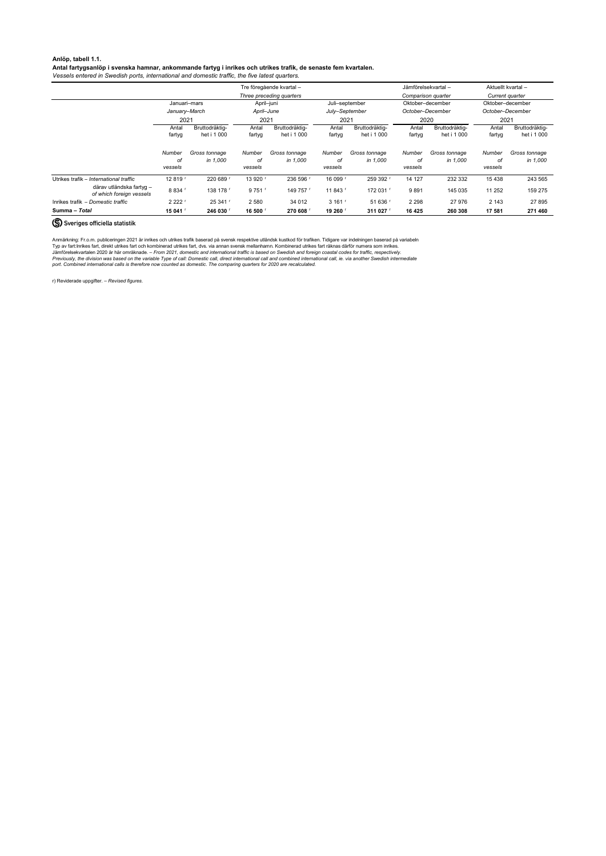## <span id="page-5-0"></span>**Anlöp, tabell 1.1.**

## **Antal fartygsanlöp i svenska hamnar, ankommande fartyg i inrikes och utrikes trafik, de senaste fem kvartalen.**

*Vessels entered in Swedish ports, international and domestic traffic, the five latest quarters.*

|                                                      | Tre föregående kvartal - |                               |                         |                               |                         |                               |                          | Jämförelsekvartal -           |                         | Aktuellt kvartal -            |  |
|------------------------------------------------------|--------------------------|-------------------------------|-------------------------|-------------------------------|-------------------------|-------------------------------|--------------------------|-------------------------------|-------------------------|-------------------------------|--|
|                                                      |                          |                               |                         | Three preceding quarters      |                         |                               | Comparison quarter       |                               | Current quarter         |                               |  |
|                                                      | Januari–mars             |                               | April-juni              |                               | Juli-september          |                               | Oktober-december         |                               | Oktober-december        |                               |  |
|                                                      | January-March            |                               | April–June              |                               | July-September          |                               | October-December<br>2020 |                               | October-December        |                               |  |
|                                                      | 2021                     |                               | 2021                    |                               | 2021                    |                               |                          |                               |                         | 2021                          |  |
|                                                      | Antal<br>fartyg          | Bruttodräktig-<br>het i 1 000 | Antal<br>fartyg         | Bruttodräktig-<br>het i 1 000 | Antal<br>fartyg         | Bruttodräktig-<br>het i 1 000 | Antal<br>fartyg          | Bruttodräktig-<br>het i 1 000 | Antal<br>fartyg         | Bruttodräktig-<br>het i 1 000 |  |
|                                                      | Number<br>оf<br>vessels  | Gross tonnage<br>in 1.000     | Number<br>оf<br>vessels | Gross tonnage<br>in 1,000     | Number<br>оf<br>vessels | Gross tonnage<br>in 1.000     | Number<br>οf<br>vessels  | Gross tonnage<br>in 1,000     | Number<br>оf<br>vessels | Gross tonnage<br>in 1.000     |  |
| Utrikes trafik – International traffic               | 12 819 F                 | 220 689                       | 13 920                  | 236 596                       | 16 099 <sup>r</sup>     | 259 392                       | 14 127                   | 232 332                       | 15 4 38                 | 243 565                       |  |
| därav utländska fartyg -<br>of which foreign vessels | 8 8 3 4 「                | 138 178 「                     | 9 7 5 1                 | 149 757 「                     | 11 843 F                | 172 031                       | 9891                     | 145 035                       | 11 252                  | 159 275                       |  |
| Inrikes trafik – Domestic traffic                    | 2 2 2 2 5                | 25 341 '                      | 2 5 8 0                 | 34 012                        | 3,161                   | 51 636 '                      | 2 2 9 8                  | 27 976                        | 2 1 4 3                 | 27 895                        |  |
| Summa – Total                                        | 15 041                   | 246 030                       | 16 500                  | 270 608                       | 19 260                  | 311 027                       | 16 4 25                  | 260 308                       | 17 581                  | 271 460                       |  |

# (S) Sveriges officiella statistik

Anmärkning: Fr.o.m. publiceringen 2021 är inrikes och utrikes trafik baserad på svensk respektive utländsk kustkod för trafiken. Tidigare var indelningen baserad på variabeln Typ av fart:Inrikes fart, direkt utrikes fart och kombinerad utrikes fart, dvs. via annan svensk mellanhamn. Kombinerad utrikes fart räknas därför numera som inrikes. Jämförelsekvartalen 2020 är här omräknade. *– From 2021, domestic and international traffic is based on Swedish and foreign coastal codes for traffic, respectively. Previously, the division was based on the variable Type of call: Domestic call, direct international call and combined international call, ie. via another Swedish intermediate port. Combined international calls is therefore now counted as domestic. The comparing quarters for 2020 are recalculated.*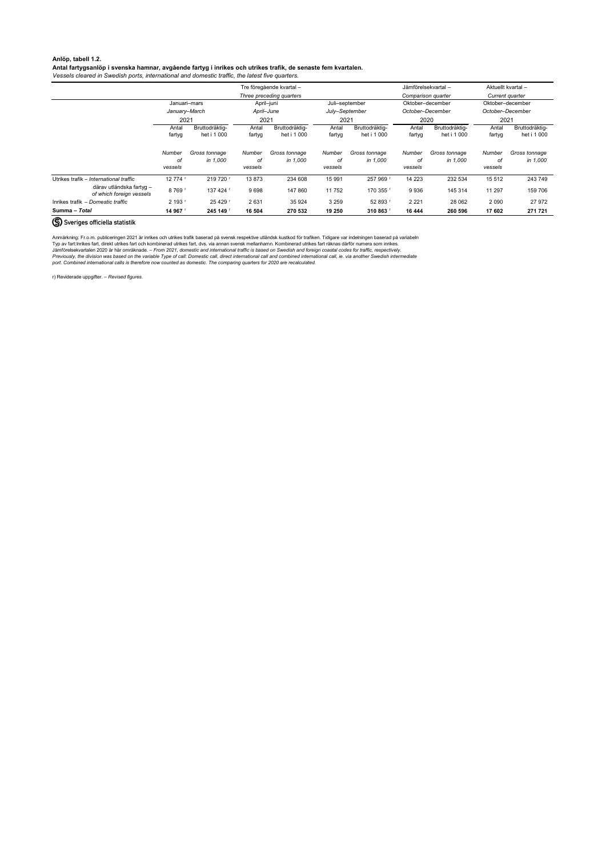# <span id="page-6-0"></span>**Anlöp, tabell 1.2.**

## **Antal fartygsanlöp i svenska hamnar, avgående fartyg i inrikes och utrikes trafik, de senaste fem kvartalen.**

*Vessels cleared in Swedish ports, international and domestic traffic, the latest five quarters.* 

|                                                      | Tre föregående kvartal – |                               |                         |                               |                         |                               |                         | Jämförelsekvartal -           |                         | Aktuellt kvartal-             |  |
|------------------------------------------------------|--------------------------|-------------------------------|-------------------------|-------------------------------|-------------------------|-------------------------------|-------------------------|-------------------------------|-------------------------|-------------------------------|--|
|                                                      |                          |                               |                         | Three preceding quarters      |                         |                               | Comparison quarter      |                               | Current quarter         |                               |  |
|                                                      | Januari-mars             |                               | April-juni              |                               |                         | Juli-september                |                         | Oktober-december              | Oktober-december        |                               |  |
|                                                      | January-March<br>2021    |                               | April–June<br>2021      |                               | July-September          |                               | October-December        |                               | October-December        |                               |  |
|                                                      |                          |                               |                         |                               | 2021                    |                               | 2020                    |                               |                         | 2021                          |  |
|                                                      | Antal<br>fartyg          | Bruttodräktig-<br>het i 1 000 | Antal<br>fartyg         | Bruttodräktig-<br>het i 1 000 | Antal<br>fartyg         | Bruttodräktig-<br>het i 1 000 | Antal<br>fartyg         | Bruttodräktig-<br>het i 1 000 | Antal<br>fartyg         | Bruttodräktig-<br>het i 1 000 |  |
|                                                      | Number<br>оf<br>vessels  | Gross tonnage<br>in 1.000     | Number<br>оf<br>vessels | Gross tonnage<br>in 1.000     | Number<br>οf<br>vessels | Gross tonnage<br>in 1,000     | Number<br>оf<br>vessels | Gross tonnage<br>in 1,000     | Number<br>οf<br>vessels | Gross tonnage<br>in 1,000     |  |
| Utrikes trafik - International traffic               | 12 774 「                 | 219 720                       | 13873                   | 234 608                       | 15 991                  | 257 969                       | 14 2 23                 | 232 534                       | 15 5 12                 | 243 749                       |  |
| därav utländska fartyg -<br>of which foreign vessels | 8769                     | 137 424 '                     | 9698                    | 147 860                       | 11 752                  | 170 355                       | 9936                    | 145 314                       | 11 297                  | 159 706                       |  |
| Inrikes trafik – Domestic traffic                    | 2 193                    | 25 4 29 「                     | 2631                    | 35 9 24                       | 3 2 5 9                 | 52 893                        | 2 2 2 1                 | 28 062                        | 2 0 9 0                 | 27 972                        |  |
| Summa - Total                                        | 14 967                   | 245 149                       | 16 504                  | 270 532                       | 19 250                  | 310 863                       | 16 444                  | 260 596                       | 17 602                  | 271 721                       |  |

# (S) Sveriges officiella statistik

Anmärkning: Fr.o.m. publiceringen 2021 är inrikes och utrikes trafik baserad på svensk respektive utländsk kustkod för trafiken. Tidigare var indelningen baserad på variabeln Typ av fart:Inrikes fart, direkt utrikes fart och kombinerad utrikes fart, dvs. via annan svensk mellanhamn. Kombinerad utrikes fart räknas därför numera som inrikes. Jämförelsekvartalen 2020 är här omräknade. *– From 2021, domestic and international traffic is based on Swedish and foreign coastal codes for traffic, respectively. Previously, the division was based on the variable Type of call: Domestic call, direct international call and combined international call, ie. via another Swedish intermediate port. Combined international calls is therefore now counted as domestic. The comparing quarters for 2020 are recalculated.*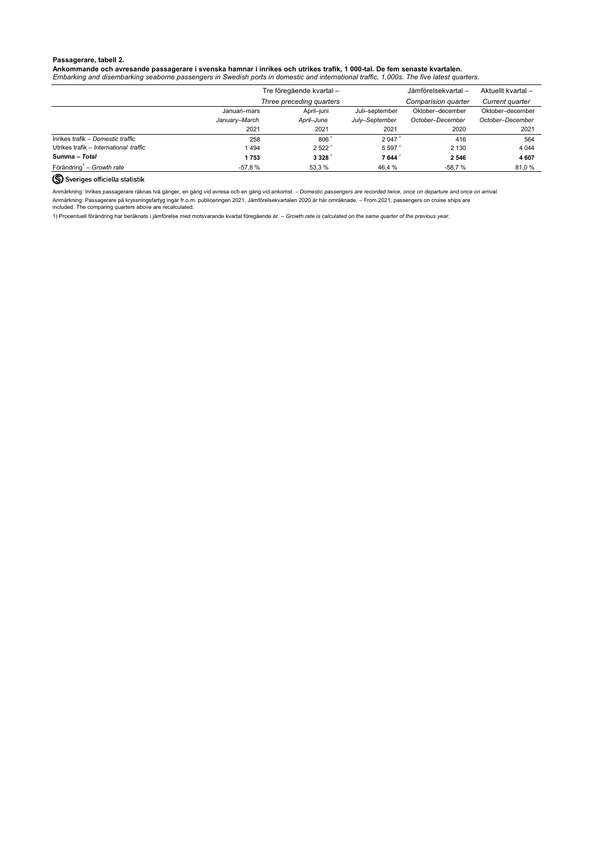## <span id="page-7-0"></span>**Passagerare, tabell 2.**

# **Ankommande och avresande passagerare i svenska hamnar i inrikes och utrikes trafik, 1 000-tal. De fem senaste kvartalen.**

*Embarking and disembarking seaborne passengers in Swedish ports in domestic and international traffic, 1,000s. The five latest quarters.*

|                                        |               | Tre föregående kvartal - | Jämförelsekvartal - | Aktuellt kvartal -  |                  |
|----------------------------------------|---------------|--------------------------|---------------------|---------------------|------------------|
|                                        |               | Three preceding quarters |                     | Comparision quarter | Current quarter  |
|                                        | Januari–mars  | April-juni               | Oktober-december    | Oktober-december    |                  |
|                                        | January-March | April–June               | July-September      | October-December    | October-December |
|                                        | 2021          | 2021                     | 2021                | 2020                | 2021             |
| Inrikes trafik – Domestic traffic      | 258           | 806                      | 2 0 4 7             | 416                 | 564              |
| Utrikes trafik – International traffic | 1494          | 2522'                    | 5.597               | 2 1 3 0             | 4 0 4 4          |
| Summa - Total                          | 1753          | 3 3 2 8                  | 7 644               | 2 5 4 6             | 4 607            |
| Förändring <sup>1</sup> – Growth rate  | -57,8 %       | 53,3 %                   | 46,4 %              | -58,7 %             | 81,0 %           |

# (S) Sveriges officiella statistik

Anmärkning: Passagerare på kryssningsfartyg ingår fr.o.m. publiceringen 2021. Jämförelsekvartalen 2020 är här omräknade. – From 2021, passengers on cruise ships are included. The comparing quarters above are recalculated. Anmärkning: Inrikes passagerare räknas två gånger, en gång vid avresa och en gång vid ankomst. – *Domestic passengers are recorded twice, once on departure and once on arrival.*

1) Procentuell förändring har beräknats i jämförelse med motsvarande kvartal föregående år. – *Growth rate is calculated on the same quarter of the previous year.*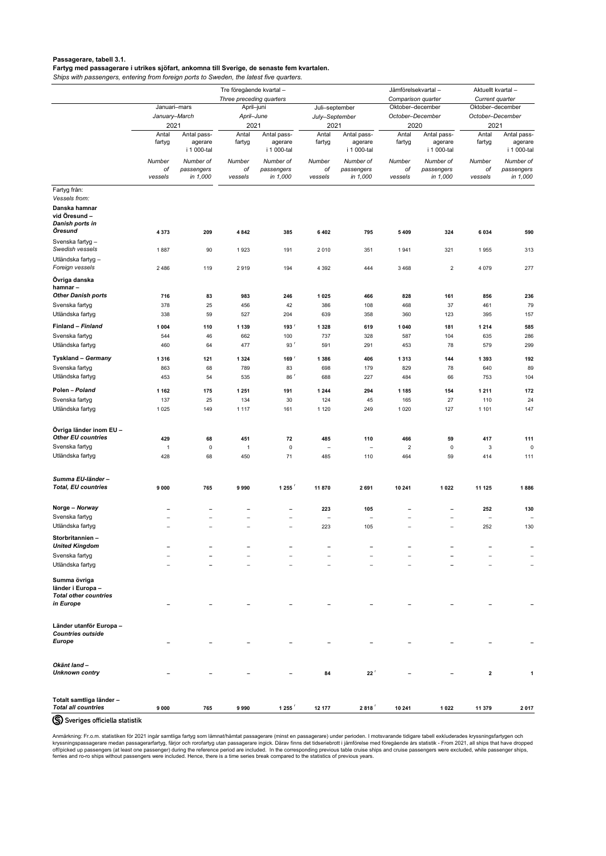<span id="page-8-0"></span>**Passagerare, tabell 3.1.**

**Fartyg med passagerare i utrikes sjöfart, ankomna till Sverige, de senaste fem kvartalen.**

*Ships with passengers, entering from foreign ports to Sweden, the latest five quarters.*

|                                                                   |                       | Tre föregående kvartal-               |                          |                                       |                                 |                                       |                    | Jämförelsekvartal-                    | Aktuellt kvartal-               |                                       |
|-------------------------------------------------------------------|-----------------------|---------------------------------------|--------------------------|---------------------------------------|---------------------------------|---------------------------------------|--------------------|---------------------------------------|---------------------------------|---------------------------------------|
|                                                                   |                       |                                       | Three preceding quarters |                                       |                                 |                                       | Comparison quarter |                                       | Current quarter                 |                                       |
|                                                                   | Januari-mars          |                                       |                          | April-juni                            |                                 | Juli-september                        |                    | Oktober-december                      | Oktober-december                |                                       |
|                                                                   | January-March<br>2021 |                                       | April-June<br>2021       |                                       |                                 | July-September<br>2021                |                    | October-December<br>2020              | October-December<br>2021        |                                       |
|                                                                   | Antal<br>fartyg       | Antal pass-<br>agerare<br>i 1 000-tal | Antal<br>fartyg          | Antal pass-<br>agerare<br>i 1 000-tal | Antal<br>fartyg                 | Antal pass-<br>agerare<br>i 1 000-tal | Antal<br>fartyg    | Antal pass-<br>agerare<br>i 1 000-tal | Antal<br>fartyg                 | Antal pass-<br>agerare<br>i 1 000-tal |
|                                                                   | Number<br>оf          | Number of<br>passengers               | Number<br>оf             | Number of<br>passengers               | Number<br>оf                    | Number of<br>passengers               | Number<br>оf       | Number of<br>passengers               | Number<br>оf                    | Number of<br>passengers               |
|                                                                   | vessels               | in 1,000                              | vessels                  | in 1,000                              | vessels                         | in 1,000                              | vessels            | in 1,000                              | vessels                         | in 1,000                              |
| Fartyg från:<br>Vessels from:                                     |                       |                                       |                          |                                       |                                 |                                       |                    |                                       |                                 |                                       |
| Danska hamnar<br>vid Öresund -<br><b>Danish ports in</b>          |                       |                                       |                          |                                       |                                 |                                       |                    |                                       |                                 |                                       |
| Öresund                                                           | 4 3 7 3               | 209                                   | 4 8 4 2                  | 385                                   | 6 4 0 2                         | 795                                   | 5 4 0 9            | 324                                   | 6 0 3 4                         | 590                                   |
| Svenska fartyg -<br>Swedish vessels                               | 1887                  | 90                                    | 1923                     | 191                                   | 2010                            | 351                                   | 1941               | 321                                   | 1955                            | 313                                   |
| Utländska fartyg -<br>Foreign vessels                             | 2 4 8 6               | 119                                   | 2919                     | 194                                   | 4 3 9 2                         | 444                                   | 3468               | $\overline{c}$                        | 4 0 7 9                         | 277                                   |
| Övriga danska<br>hamnar-                                          |                       |                                       |                          |                                       |                                 |                                       |                    |                                       |                                 |                                       |
| <b>Other Danish ports</b>                                         | 716                   | 83                                    | 983                      | 246                                   | 1 0 2 5                         | 466                                   | 828                | 161                                   | 856                             | 236                                   |
| Svenska fartyg<br>Utländska fartyg                                | 378<br>338            | 25<br>59                              | 456<br>527               | 42<br>204                             | 386<br>639                      | 108<br>358                            | 468<br>360         | 37<br>123                             | 461<br>395                      | 79<br>157                             |
| Finland - Finland                                                 | 1 0 0 4               | 110                                   | 1 1 3 9                  | 193 <sup>r</sup>                      | 1 3 2 8                         | 619                                   | 1 0 4 0            | 181                                   | 1 2 1 4                         | 585                                   |
| Svenska fartyg                                                    | 544                   | 46                                    | 662                      | 100                                   | 737                             | 328                                   | 587                | 104                                   | 635                             | 286                                   |
| Utländska fartyg                                                  | 460                   | 64                                    | 477                      | 93 <sup>r</sup>                       | 591                             | 291                                   | 453                | 78                                    | 579                             | 299                                   |
| <b>Tyskland - Germany</b>                                         | 1 3 1 6               | 121                                   | 1 3 2 4                  | $169$ <sup>r</sup>                    | 1 3 8 6                         | 406                                   | 1 3 1 3            | 144                                   | 1 3 9 3                         | 192                                   |
| Svenska fartyg<br>Utländska fartyg                                | 863                   | 68                                    | 789                      | 83                                    | 698                             | 179                                   | 829                | 78                                    | 640                             | 89                                    |
|                                                                   | 453                   | 54                                    | 535                      | 86 <sup>r</sup>                       | 688                             | 227                                   | 484                | 66                                    | 753                             | 104                                   |
| Polen - Poland                                                    | 1 1 6 2               | 175                                   | 1 2 5 1                  | 191                                   | 1 2 4 4                         | 294                                   | 1 1 8 5            | 154                                   | 1 2 1 1                         | 172                                   |
| Svenska fartyg<br>Utländska fartyg                                | 137<br>1 0 2 5        | 25<br>149                             | 134<br>1 1 1 7           | 30<br>161                             | 124<br>1 1 2 0                  | 45<br>249                             | 165<br>1 0 2 0     | 27<br>127                             | 110<br>1 1 0 1                  | 24<br>147                             |
|                                                                   |                       |                                       |                          |                                       |                                 |                                       |                    |                                       |                                 |                                       |
| Övriga länder inom EU -<br><b>Other EU countries</b>              | 429                   | 68                                    | 451                      | 72                                    | 485                             | 110                                   | 466                | 59                                    | 417                             | 111                                   |
| Svenska fartyg                                                    | $\mathbf{1}$          | $\mathbf 0$                           | $\overline{1}$           | 0                                     | $\overline{\phantom{0}}$        | $\overline{\phantom{m}}$              | 2                  | 0                                     | 3                               | $\pmb{0}$                             |
| Utländska fartyg                                                  | 428                   | 68                                    | 450                      | 71                                    | 485                             | 110                                   | 464                | 59                                    | 414                             | 111                                   |
| Summa EU-länder-<br><b>Total, EU countries</b>                    | 9 0 0 0               | 765                                   | 9990                     | 1 255 $^{\circ}$                      | 11870                           | 2691                                  | 10 241             | 1 0 2 2                               | 11 125                          | 1886                                  |
|                                                                   |                       |                                       |                          |                                       |                                 |                                       |                    |                                       |                                 |                                       |
| Norge - Norway                                                    |                       |                                       |                          | $\qquad \qquad \blacksquare$          | 223                             | 105                                   |                    |                                       | 252                             | 130                                   |
| Svenska fartyg<br>Utländska fartyg                                |                       |                                       |                          |                                       | $\overline{\phantom{m}}$<br>223 | $\overline{\phantom{m}}$<br>105       |                    |                                       | $\overline{\phantom{m}}$<br>252 | $\overline{\phantom{m}}$<br>130       |
| Storbritannien-<br><b>United Kingdom</b>                          |                       |                                       |                          |                                       |                                 |                                       |                    |                                       |                                 |                                       |
| Svenska fartyg                                                    |                       |                                       |                          |                                       |                                 |                                       |                    |                                       |                                 |                                       |
| Utländska fartyg                                                  |                       |                                       |                          |                                       |                                 |                                       |                    |                                       |                                 | $\overline{\phantom{m}}$              |
| Summa övriga<br>länder i Europa -<br><b>Total other countries</b> |                       |                                       |                          |                                       |                                 |                                       |                    |                                       |                                 |                                       |
| in Europe                                                         |                       |                                       |                          |                                       |                                 |                                       |                    |                                       |                                 |                                       |
| Länder utanför Europa -<br><b>Countries outside</b>               |                       |                                       |                          |                                       |                                 |                                       |                    |                                       |                                 |                                       |
| <b>Europe</b>                                                     |                       |                                       |                          |                                       |                                 |                                       |                    |                                       |                                 |                                       |
| Okänt land -                                                      |                       |                                       |                          |                                       |                                 |                                       |                    |                                       |                                 |                                       |
| <b>Unknown contry</b>                                             |                       |                                       |                          |                                       | 84                              | $22^r$                                |                    |                                       | $\mathbf{2}$                    |                                       |
| Totalt samtliga länder -                                          |                       |                                       |                          |                                       |                                 |                                       |                    |                                       |                                 |                                       |
| <b>Total all countries</b>                                        | 9000                  | 765                                   | 9990                     | 1 255 $5$                             | 12 177                          | 2818                                  | 10 241             | 1 0 2 2                               | 11 379                          | 2017                                  |

S Sveriges officiella statistik

Anmärkning: Fr.o.m. statistiken för 2021 ingår samtliga fartyg som lämnat/hämtat passagerare (minst en passagerare) under perioden. I motsvarande tidigare tabell exkluderades kryssningsfartygen och kryssningspassagerare medan passagerarfartyg, färjor och rorofartyg utan passagerare ingick. Därav finns det tidseriebrott i jämförelse med föregående års statistik - From 2021, all ships that have dropped off/picked up passengers (at least one passenger) during the reference period are included. In the corresponding previous table cruise ships and cruise passengers were excluded, while passenger ships, ferries and ro-ro ships without passengers were included. Hence, there is a time series break compared to the statistics of previous years.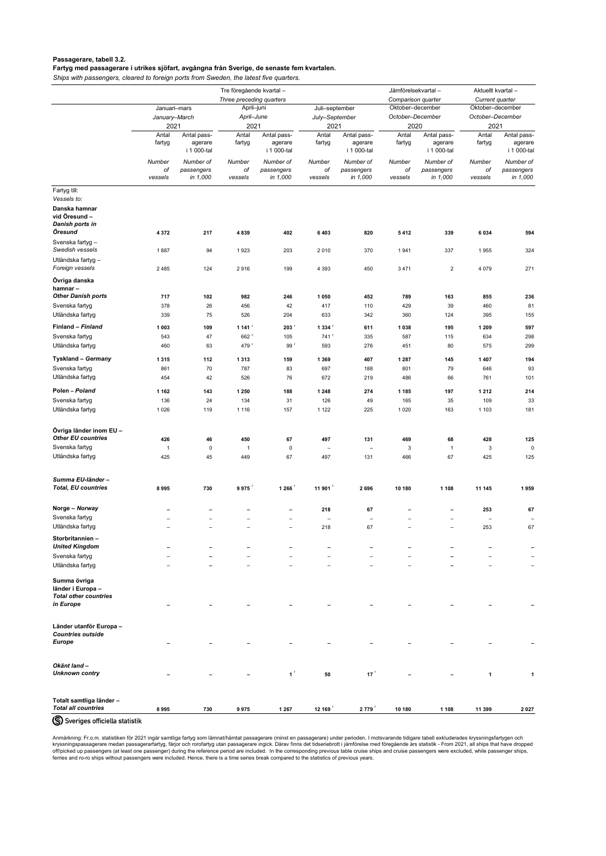# <span id="page-9-0"></span>**Passagerare, tabell 3.2. Fartyg med passagerare i utrikes sjöfart, avgångna från Sverige, de senaste fem kvartalen.**

*Ships with passengers, cleared to foreign ports from Sweden, the latest five quarters.*

|                                                                   | Tre föregående kvartal - |                                       |                          |                                       |                          |                                       | Jämförelsekvartal- |                                       | Aktuellt kvartal-        |                                       |
|-------------------------------------------------------------------|--------------------------|---------------------------------------|--------------------------|---------------------------------------|--------------------------|---------------------------------------|--------------------|---------------------------------------|--------------------------|---------------------------------------|
|                                                                   |                          |                                       | Three preceding quarters |                                       |                          |                                       | Comparison quarter |                                       | Current quarter          |                                       |
|                                                                   | Januari-mars             |                                       | April-juni               |                                       | Juli-september           |                                       | Oktober-december   |                                       | Oktober-december         |                                       |
|                                                                   | January-March            |                                       | April-June               |                                       | July-September           |                                       | October-December   |                                       | October-December         |                                       |
|                                                                   | 2021                     |                                       | 2021                     |                                       | 2021                     |                                       | 2020               |                                       | 2021                     |                                       |
|                                                                   | Antal<br>fartyg          | Antal pass-<br>agerare<br>i 1 000-tal | Antal<br>fartyg          | Antal pass-<br>agerare<br>i 1 000-tal | Antal<br>fartyg          | Antal pass-<br>agerare<br>i 1 000-tal | Antal<br>fartyg    | Antal pass-<br>agerare<br>i 1 000-tal | Antal<br>fartyg          | Antal pass-<br>agerare<br>i 1 000-tal |
|                                                                   | Number<br>оf             | Number of<br>passengers               | Number<br>оf             | Number of<br>passengers               | Number<br>οf             | Number of<br>passengers               | Number<br>оf       | Number of<br>passengers               | Number<br>оf             | Number of<br>passengers               |
|                                                                   | vessels                  | in 1,000                              | vessels                  | in 1,000                              | vessels                  | in 1,000                              | vessels            | in 1,000                              | vessels                  | in 1,000                              |
| Fartyg till:                                                      |                          |                                       |                          |                                       |                          |                                       |                    |                                       |                          |                                       |
| Vessels to:                                                       |                          |                                       |                          |                                       |                          |                                       |                    |                                       |                          |                                       |
| Danska hamnar<br>vid Öresund -<br>Danish ports in<br>Öresund      | 4 3 7 2                  | 217                                   | 4839                     | 402                                   | 6403                     | 820                                   | 5412               | 339                                   | 6 0 3 4                  | 594                                   |
| Svenska fartyg -<br>Swedish vessels                               | 1887                     | 94                                    | 1923                     | 203                                   | 2010                     | 370                                   | 1941               | 337                                   | 1955                     | 324                                   |
| Utländska fartyg -                                                |                          |                                       |                          |                                       |                          |                                       |                    |                                       |                          |                                       |
| Foreign vessels                                                   | 2 4 8 5                  | 124                                   | 2916                     | 199                                   | 4 3 9 3                  | 450                                   | 3 4 7 1            | $\overline{2}$                        | 4 0 7 9                  | 271                                   |
| Övriga danska<br>hamnar-                                          |                          |                                       |                          |                                       |                          |                                       |                    |                                       |                          |                                       |
| <b>Other Danish ports</b>                                         | 717                      | 102                                   | 982                      | 246                                   | 1 0 5 0                  | 452                                   | 789                | 163                                   | 855                      | 236                                   |
| Svenska fartyg                                                    | 378                      | 26                                    | 456                      | 42                                    | 417                      | 110                                   | 429                | 39                                    | 460                      | 81                                    |
| Utländska fartyg                                                  | 339                      | 75                                    | 526                      | 204                                   | 633                      | 342                                   | 360                | 124                                   | 395                      | 155                                   |
| Finland - Finland                                                 | 1 0 0 3                  | 109                                   | 1 141 $r$                | 203                                   | 1334                     | 611                                   | 1 0 3 8            | 195                                   | 1 2 0 9                  | 597                                   |
| Svenska fartyg                                                    | 543                      | 47                                    | 662 <sup>r</sup>         | 105                                   | $741$ <sup>r</sup>       | 335                                   | 587                | 115                                   | 634                      | 298                                   |
| Utländska fartyg                                                  | 460                      | 63                                    | 479 <sup>r</sup>         | 99 <sup>r</sup>                       | 593                      | 276                                   | 451                | 80                                    | 575                      | 299                                   |
| <b>Tyskland - Germany</b>                                         | 1 3 1 5                  | 112                                   | 1 3 1 3                  | 159                                   | 1 3 6 9                  | 407                                   | 1 2 8 7            | 145                                   | 1 4 0 7                  | 194                                   |
| Svenska fartyg                                                    | 861                      | 70                                    | 787                      | 83                                    | 697                      | 188                                   | 801                | 79                                    | 646                      | 93                                    |
| Utländska fartyg                                                  | 454                      | 42                                    | 526                      | 76                                    | 672                      | 219                                   | 486                | 66                                    | 761                      | 101                                   |
| Polen - Poland                                                    | 1 1 6 2                  | 143                                   | 1 2 5 0                  | 188                                   | 1 2 4 8                  | 274                                   | 1 1 8 5            | 197                                   | 1 2 1 2                  | 214                                   |
| Svenska fartyg                                                    | 136                      | 24                                    | 134                      | 31                                    | 126                      | 49                                    | 165                | 35                                    | 109                      | 33                                    |
| Utländska fartyg                                                  | 1 0 2 6                  | 119                                   | 1 1 1 6                  | 157                                   | 1 1 2 2                  | 225                                   | 1 0 2 0            | 163                                   | 1 1 0 3                  | 181                                   |
| Övriga länder inom EU -                                           |                          |                                       |                          |                                       |                          |                                       |                    |                                       |                          |                                       |
| <b>Other EU countries</b>                                         | 426                      | 46                                    | 450                      | 67                                    | 497                      | 131                                   | 469                | 68                                    | 428                      | 125                                   |
| Svenska fartyg                                                    | $\mathbf{1}$             | $\mathbf 0$                           | $\overline{1}$           | 0                                     | $\overline{\phantom{m}}$ | $\overline{\phantom{m}}$              | 3                  | $\overline{1}$                        | 3                        | $\mathsf 0$                           |
| Utländska fartyg                                                  | 425                      | 45                                    | 449                      | 67                                    | 497                      | 131                                   | 466                | 67                                    | 425                      | 125                                   |
| Summa EU-länder-                                                  |                          |                                       |                          |                                       |                          |                                       |                    |                                       |                          |                                       |
| <b>Total, EU countries</b>                                        | 8995                     | 730                                   | 9975                     | 1 266                                 | 11 901                   | 2696                                  | 10 180             | 1 1 0 8                               | 11 145                   | 1959                                  |
| Norge - Norway                                                    |                          |                                       |                          | -                                     | 218                      | 67                                    |                    |                                       | 253                      | 67                                    |
| Svenska fartyg                                                    |                          |                                       |                          | $\overline{\phantom{m}}$              | $\overline{\phantom{0}}$ | $\overline{\phantom{m}}$              |                    |                                       | $\overline{\phantom{m}}$ | $\overline{\phantom{m}}$              |
| Utländska fartyg                                                  | $\overline{\phantom{0}}$ |                                       |                          | $\overline{\phantom{m}}$              | 218                      | 67                                    |                    | $\qquad \qquad -$                     | 253                      | 67                                    |
| Storbritannien-<br><b>United Kingdom</b>                          |                          | $\overline{\phantom{0}}$              |                          | -                                     |                          | -                                     |                    |                                       |                          |                                       |
| Svenska fartyg                                                    |                          |                                       |                          |                                       |                          |                                       |                    |                                       |                          |                                       |
| Utländska fartyg                                                  |                          |                                       |                          |                                       |                          |                                       |                    |                                       |                          | $\overline{\phantom{m}}$              |
| Summa övriga<br>länder i Europa -<br><b>Total other countries</b> |                          |                                       |                          |                                       |                          |                                       |                    |                                       |                          |                                       |

*in Europe* **– – – – – – – – – –**

| <b>Countries outside</b><br><b>Europe</b>              | $\overline{\phantom{0}}$ | $\overline{\phantom{0}}$ | -                        | $\overline{\phantom{a}}$ | $\overline{\phantom{0}}$ | $\overline{\phantom{0}}$ |                          |                          |        | $\overline{\phantom{0}}$ |
|--------------------------------------------------------|--------------------------|--------------------------|--------------------------|--------------------------|--------------------------|--------------------------|--------------------------|--------------------------|--------|--------------------------|
| Okänt land -<br><b>Unknown contry</b>                  | $\overline{\phantom{0}}$ | $\overline{\phantom{0}}$ | $\overline{\phantom{0}}$ | $\overline{1}$           | 50                       | 17                       | $\overline{\phantom{0}}$ | $\overline{\phantom{0}}$ |        |                          |
| Totalt samtliga länder -<br><b>Total all countries</b> | 8995                     | 730                      | 9975                     | 1 2 6 7                  | 12 169                   | 2779                     | 10 180                   | 1 1 0 8                  | 11 399 | 2027                     |
| S Sveriges officiella statistik                        |                          |                          |                          |                          |                          |                          |                          |                          |        |                          |

Anmärkning: Fr.o.m. statistiken för 2021 ingår samtliga fartyg som lämnat/hämtat passagerare (minst en passagerare) under perioden. I motsvarande tidigare tabell exkluderades kryssningsfartygen och kryssningspassagerare medan passagerarfartyg, färjor och rorofartyg utan passagerare ingick. Därav finns det tidseriebrott i jämförelse med föregående års statistik - From 2021, all ships that have dropped off/picked up passengers (at least one passenger) during the reference period are included. In the corresponding previous table cruise ships and cruise passengers were excluded, while passenger ships, ferries and ro-ro ships without passengers were included. Hence, there is a time series break compared to the statistics of previous years.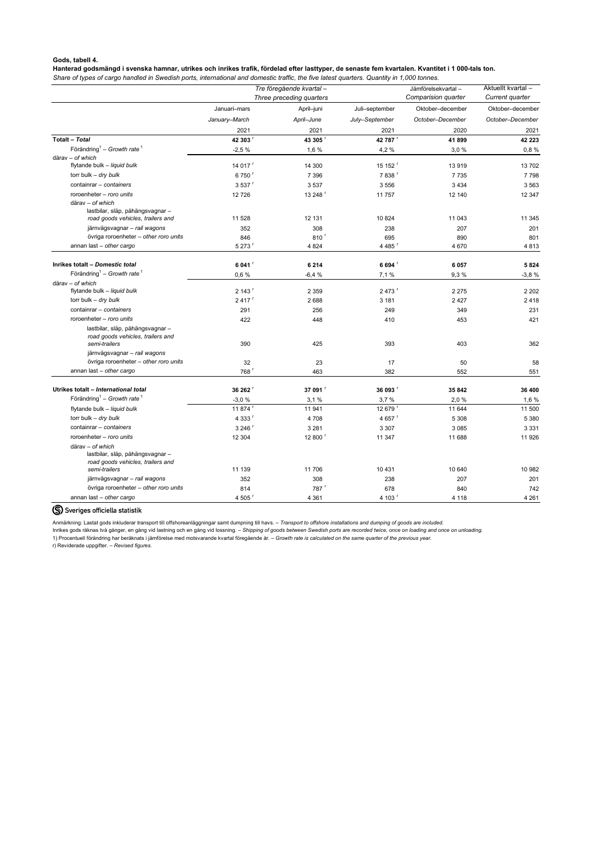## <span id="page-10-0"></span>**Gods, tabell 4.**

**Hanterad godsmängd i svenska hamnar, utrikes och inrikes trafik, fördelad efter lasttyper, de senaste fem kvartalen. Kvantitet i 1 000-tals ton.**

*Share of types of cargo handled in Swedish ports, international and domestic traffic, the five latest quarters. Quantity in 1,000 tonnes.*

|                                                                                           |                     | Tre föregående kvartal-  |                      | Jämförelsekvartal-  | Aktuellt kvartal- |
|-------------------------------------------------------------------------------------------|---------------------|--------------------------|----------------------|---------------------|-------------------|
|                                                                                           |                     | Three preceding quarters |                      | Comparision quarter | Current quarter   |
|                                                                                           | Januari-mars        | April-juni               | Juli-september       | Oktober-december    | Oktober-december  |
|                                                                                           | January-March       | April-June               | July-September       | October-December    | October-December  |
|                                                                                           | 2021                | 2021                     | 2021                 | 2020                | 2021              |
| <b>Totalt - Total</b>                                                                     | 42 303              | 43 305                   | 42 787               | 41899               | 42 2 23           |
| Förändring <sup>1</sup> – Growth rate <sup>1</sup>                                        | $-2,5%$             | 1,6 %                    | 4,2 %                | 3,0%                | 0,8%              |
| därav - of which                                                                          |                     |                          |                      |                     |                   |
| flytande bulk - liquid bulk                                                               | 14 017 <sup>r</sup> | 14 300                   | 15 152 <sup>r</sup>  | 13919               | 13702             |
| torr bulk - dry bulk                                                                      | 6750 <sup>r</sup>   | 7 3 9 6                  | 7838                 | 7735                | 7798              |
| containrar - containers                                                                   | 3 5 3 7             | 3 5 3 7                  | 3 5 5 6              | 3 4 3 4             | 3 5 6 3           |
| roroenheter - roro units                                                                  | 12726               | 13 248 <sup>r</sup>      | 11757                | 12 140              | 12 347            |
| därav - of which                                                                          |                     |                          |                      |                     |                   |
| lastbilar, släp, påhängsvagnar -                                                          |                     |                          |                      |                     |                   |
| road goods vehicles, trailers and                                                         | 11 528              | 12 131                   | 10 824               | 11 043              | 11 345            |
| järnvägsvagnar - rail wagons                                                              | 352                 | 308                      | 238                  | 207                 | 201               |
| övriga roroenheter - other roro units                                                     | 846                 | 810 <sup>r</sup>         | 695                  | 890                 | 801               |
| annan last - other cargo                                                                  | 5 273               | 4 8 24                   | 4 4 8 5 <sup>r</sup> | 4 670               | 4813              |
| Inrikes totalt - Domestic total                                                           | 6 041 <sup>'</sup>  | 6 2 1 4                  | 6 694 <sup>'</sup>   | 6 0 5 7             | 5 8 2 4           |
| Förändring <sup>1</sup> – Growth rate <sup>1</sup>                                        | 0,6%                | $-6,4%$                  | 7,1 %                | 9,3%                | $-3,8%$           |
| därav - of which                                                                          |                     |                          |                      |                     |                   |
| flytande bulk - liquid bulk                                                               | 2 143 <sup>r</sup>  | 2 3 5 9                  | 2 473 「              | 2 2 7 5             | 2 2 0 2           |
| torr bulk - dry bulk                                                                      | $2417$ <sup>r</sup> | 2688                     | 3 1 8 1              | 2 4 2 7             | 2 4 1 8           |
| containrar - containers                                                                   | 291                 | 256                      | 249                  | 349                 | 231               |
| roroenheter - roro units                                                                  | 422                 | 448                      | 410                  | 453                 | 421               |
| lastbilar, släp, påhängsvagnar -                                                          |                     |                          |                      |                     |                   |
| road goods vehicles, trailers and<br>semi-trailers                                        | 390                 | 425                      | 393                  | 403                 | 362               |
| järnvägsvagnar - rail wagons                                                              |                     |                          |                      |                     |                   |
| övriga roroenheter - other roro units                                                     | 32                  | 23                       | 17                   | 50                  | 58                |
| annan last - other cargo                                                                  | 768                 | 463                      | 382                  | 552                 | 551               |
|                                                                                           |                     |                          |                      |                     |                   |
| Utrikes totalt - International total                                                      | 36 262              | 37 091                   | 36 093 F             | 35 842              | 36 400            |
| Förändring <sup>1</sup> – Growth rate <sup>1</sup>                                        | $-3,0%$             | 3,1%                     | 3,7%                 | 2,0%                | 1,6 %             |
| flytande bulk - liquid bulk                                                               | 11 874 <sup>r</sup> | 11 941                   | 12 679 <sup>r</sup>  | 11 644              | 11 500            |
| torr bulk - dry bulk                                                                      | 4 3 33 5            | 4708                     | 4 657 $r$            | 5 3 0 8             | 5 3 8 0           |
| containrar - containers                                                                   | 3 246 <sup>r</sup>  | 3 2 8 1                  | 3 3 0 7              | 3 0 8 5             | 3 3 3 1           |
| roroenheter - roro units                                                                  | 12 304              | 12 800 <sup>r</sup>      | 11 347               | 11 688              | 11 926            |
| därav - of which<br>lastbilar, släp, påhängsvagnar -<br>road goods vehicles, trailers and |                     |                          |                      |                     |                   |
| semi-trailers                                                                             | 11 139              | 11 706                   | 10 4 31              | 10 640              | 10 982            |
| järnvägsvagnar - rail wagons                                                              | 352                 | 308                      | 238                  | 207                 | 201               |
| övriga roroenheter - other roro units                                                     | 814                 | 787 <sup>r</sup>         | 678                  | 840                 | 742               |
| annan last - other cargo                                                                  | 4 505               | 4 3 6 1                  | 4 103 <sup>r</sup>   | 4 1 1 8             | 4 2 6 1           |

# Syeriges officiella statistik

Anmärkning: Lastat gods inkluderar transport till offshoreanläggningar samt dumpning till havs. – *Transport to offshore installations and dumping of goods are included.*

Inrikes gods räknas två gånger, en gång vid lastning och en gång vid lossning. – *Shipping of goods between Swedish ports are recorded twice, once on loading and once on unloading.*

1) Procentuell förändring har beräknats i jämförelse med motsvarande kvartal föregående år. – *Growth rate is calculated on the same quarter of the previous year.*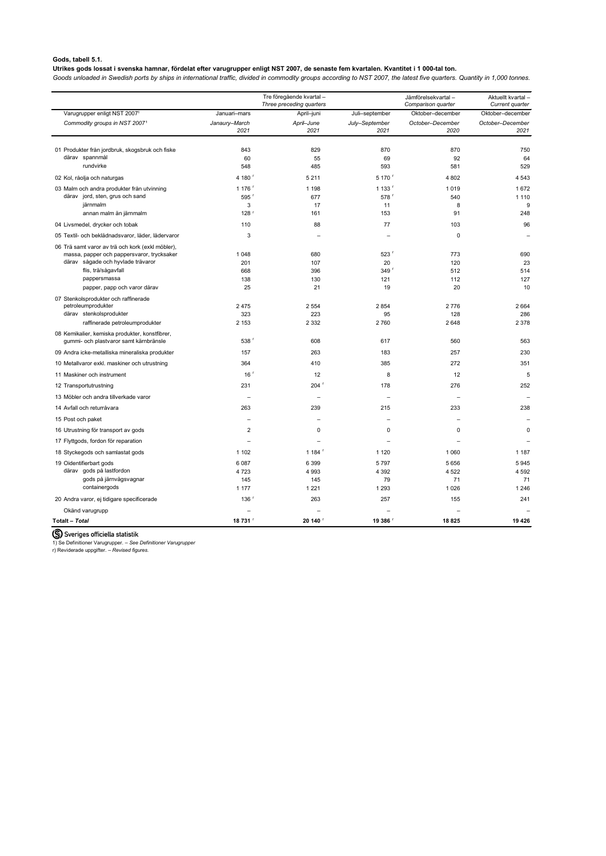# <span id="page-11-0"></span>**Gods, tabell 5.1.**

# **Utrikes gods lossat i svenska hamnar, fördelat efter varugrupper enligt NST 2007, de senaste fem kvartalen. Kvantitet i 1 000-tal ton.**

*Goods unloaded in Swedish ports by ships in international traffic, divided in commodity groups according to NST 2007, the latest five quarters. Quantity in 1,000 tonnes.*

|                                                                                          |                  | Tre föregående kvartal -<br>Three preceding quarters |                        | Jämförelsekvartal-<br>Comparison quarter | Aktuellt kvartal-<br>Current quarter |
|------------------------------------------------------------------------------------------|------------------|------------------------------------------------------|------------------------|------------------------------------------|--------------------------------------|
| Varugrupper enligt NST 20071                                                             | Januari-mars     | April-juni                                           | Juli-september         | Oktober-december                         | Oktober-december                     |
| Commodity groups in NST 20071                                                            | Janaury-March    | April-June                                           | July-September         | October-December                         | October-December                     |
|                                                                                          | 2021             | 2021                                                 | 2021                   | 2020                                     | 2021                                 |
| 01 Produkter från jordbruk, skogsbruk och fiske                                          | 843              | 829                                                  | 870                    | 870                                      | 750                                  |
| därav spannmål                                                                           | 60               | 55                                                   | 69                     | 92                                       | 64                                   |
| rundvirke                                                                                | 548              | 485                                                  | 593                    | 581                                      | 529                                  |
| 02 Kol, råolja och naturgas                                                              | 4 180            | 5 2 1 1                                              | 5 170                  | 4 8 0 2                                  | 4 5 4 3                              |
| 03 Malm och andra produkter från utvinning                                               | 1 176            | 1 1 9 8                                              | 1 133                  | 1019                                     | 1672                                 |
| därav jord, sten, grus och sand                                                          | 595 <sup>r</sup> | 677                                                  | 578 <sup>r</sup>       | 540                                      | 1 1 1 0                              |
| järnmalm                                                                                 | 3                | 17                                                   | 11                     | 8                                        | 9                                    |
| annan malm än järnmalm                                                                   | 128 <sup>r</sup> | 161                                                  | 153                    | 91                                       | 248                                  |
| 04 Livsmedel, drycker och tobak                                                          | 110              | 88                                                   | 77                     | 103                                      | 96                                   |
| 05 Textil- och beklädnadsvaror, läder, lädervaror                                        | 3                |                                                      |                        | 0                                        |                                      |
| 06 Trä samt varor av trä och kork (exkl möbler),                                         |                  |                                                      |                        |                                          |                                      |
| massa, papper och pappersvaror, trycksaker<br>därav sågade och hyvlade trävaror          | 1 0 4 8          | 680                                                  | $523$ <sup>r</sup>     | 773                                      | 690                                  |
| flis, trä/sågavfall                                                                      | 201<br>668       | 107<br>396                                           | 20<br>349 <sup>r</sup> | 120<br>512                               | 23<br>514                            |
| pappersmassa                                                                             | 138              | 130                                                  | 121                    | 112                                      | 127                                  |
| papper, papp och varor därav                                                             | 25               | 21                                                   | 19                     | 20                                       | 10                                   |
| 07 Stenkolsprodukter och raffinerade                                                     |                  |                                                      |                        |                                          |                                      |
| petroleumprodukter                                                                       | 2 4 7 5          | 2 5 5 4                                              | 2 8 5 4                | 2776                                     | 2 6 6 4                              |
| därav stenkolsprodukter                                                                  | 323              | 223                                                  | 95                     | 128                                      | 286                                  |
| raffinerade petroleumprodukter                                                           | 2 1 5 3          | 2 3 3 2                                              | 2760                   | 2648                                     | 2 3 7 8                              |
| 08 Kemikalier, kemiska produkter, konstfibrer,<br>gummi- och plastvaror samt kärnbränsle | 538 <sup>r</sup> | 608                                                  | 617                    | 560                                      | 563                                  |
| 09 Andra icke-metalliska mineraliska produkter                                           | 157              | 263                                                  | 183                    | 257                                      | 230                                  |
| 10 Metallvaror exkl. maskiner och utrustning                                             | 364              | 410                                                  | 385                    | 272                                      | 351                                  |
| 11 Maskiner och instrument                                                               | 16 <sup>r</sup>  | 12                                                   | 8                      | 12                                       | 5                                    |
| 12 Transportutrustning                                                                   | 231              | $204$ <sup>r</sup>                                   | 178                    | 276                                      | 252                                  |
| 13 Möbler och andra tillverkade varor                                                    |                  |                                                      |                        |                                          |                                      |
| 14 Avfall och returråvara                                                                | 263              | 239                                                  | 215                    | 233                                      | 238                                  |
| 15 Post och paket                                                                        |                  |                                                      |                        |                                          |                                      |
| 16 Utrustning för transport av gods                                                      | 2                | 0                                                    | 0                      | 0                                        | 0                                    |
| 17 Flyttgods, fordon för reparation                                                      |                  |                                                      |                        |                                          |                                      |
| 18 Styckegods och samlastat gods                                                         | 1 1 0 2          | 1 1 8 4 $r$                                          | 1 1 2 0                | 1 0 6 0                                  | 1 1 8 7                              |
| 19 Oidentifierbart gods                                                                  | 6 0 8 7          | 6 3 9 9                                              | 5797                   | 5 6 5 6                                  | 5945                                 |
| därav gods på lastfordon                                                                 | 4723             | 4 9 9 3                                              | 4 3 9 2                | 4 5 22                                   | 4 5 9 2                              |
| gods på järnvägsvagnar                                                                   | 145              | 145                                                  | 79                     | 71                                       | 71                                   |
| containergods                                                                            | 1 1 7 7          | 1 2 2 1                                              | 1 2 9 3                | 1 0 2 6                                  | 1 2 4 6                              |
| 20 Andra varor, ej tidigare specificerade                                                | 136 <sup>r</sup> | 263                                                  | 257                    | 155                                      | 241                                  |
| Okänd varugrupp                                                                          |                  |                                                      |                        |                                          |                                      |
| Totalt - Total                                                                           | 18 731           | 20 140                                               | 19 386                 | 18 8 25                                  | 19 4 26                              |

S Sveriges officiella statistik

1) Se Definitioner Varugrupper. – *See Definitioner Varugrupper*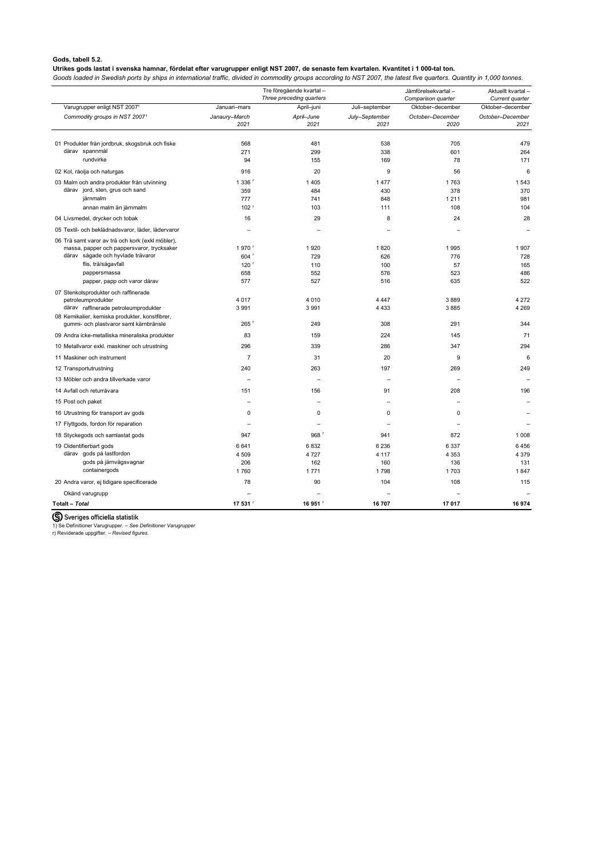# <span id="page-12-0"></span>**Gods, tabell 5.2.**

## **Utrikes gods lastat i svenska hamnar, fördelat efter varugrupper enligt NST 2007, de senaste fem kvartalen. Kvantitet i 1 000-tal ton.**

*Goods loaded in Swedish ports by ships in international traffic, divided in commodity groups according to NST 2007, the latest five quarters. Quantity in 1,000 tonnes.*

|                                                                   |                  | Tre föregående kvartal-  |                | Jämförelsekvartal- | Aktuellt kvartal- |
|-------------------------------------------------------------------|------------------|--------------------------|----------------|--------------------|-------------------|
|                                                                   |                  | Three preceding quarters |                | Comparison quarter | Current quarter   |
| Varugrupper enligt NST 20071                                      | Januari-mars     | April-juni               | Juli-september | Oktober-december   | Oktober-december  |
| Commodity groups in NST 20071                                     | Janaury-March    | April-June               | July-September | October-December   | October-December  |
|                                                                   | 2021             | 2021                     | 2021           | 2020               | 2021              |
|                                                                   | 568              |                          | 538            |                    | 479               |
| 01 Produkter från jordbruk, skogsbruk och fiske<br>därav spannmål | 271              | 481<br>299               | 338            | 705<br>601         | 264               |
| rundvirke                                                         | 94               | 155                      | 169            | 78                 | 171               |
| 02 Kol, råolja och naturgas                                       | 916              | 20                       | 9              | 56                 | 6                 |
| 03 Malm och andra produkter från utvinning                        | 1 336            | 1 4 0 5                  | 1477           | 1763               | 1 5 4 3           |
| därav jord, sten, grus och sand                                   | 359              | 484                      | 430            | 378                | 370               |
| järnmalm                                                          | 777              | 741                      | 848            | 1211               | 981               |
| annan malm än järnmalm                                            | 102 <sup>r</sup> | 103                      | 111            | 108                | 104               |
| 04 Livsmedel, drycker och tobak                                   | 16               | 29                       | 8              | 24                 | 28                |
| 05 Textil- och beklädnadsvaror, läder, lädervaror                 |                  |                          |                |                    |                   |
| 06 Trä samt varor av trä och kork (exkl möbler),                  |                  |                          |                |                    |                   |
| massa, papper och pappersvaror, trycksaker                        | 1970             | 1920                     | 1820           | 1995               | 1907              |
| därav sågade och hyvlade trävaror                                 | 604              | 729                      | 626            | 776                | 728               |
| flis, trä/sågavfall                                               | 120              | 110                      | 100            | 57                 | 165               |
| pappersmassa                                                      | 658              | 552                      | 576            | 523                | 486               |
| papper, papp och varor därav                                      | 577              | 527                      | 516            | 635                | 522               |
| 07 Stenkolsprodukter och raffinerade<br>petroleumprodukter        | 4 0 1 7          | 4 0 1 0                  | 4 4 4 7        | 3889               | 4 2 7 2           |
| därav raffinerade petroleumprodukter                              | 3 9 9 1          | 3 9 9 1                  | 4 4 3 3        | 3885               | 4 2 6 9           |
| 08 Kemikalier, kemiska produkter, konstfibrer,                    |                  |                          |                |                    |                   |
| gummi- och plastvaror samt kärnbränsle                            | 265              | 249                      | 308            | 291                | 344               |
| 09 Andra icke-metalliska mineraliska produkter                    | 83               | 159                      | 224            | 145                | 71                |
| 10 Metallvaror exkl. maskiner och utrustning                      | 296              | 339                      | 286            | 347                | 294               |
| 11 Maskiner och instrument                                        | $\overline{7}$   | 31                       | 20             | 9                  | 6                 |
| 12 Transportutrustning                                            | 240              | 263                      | 197            | 269                | 249               |
| 13 Möbler och andra tillverkade varor                             |                  |                          |                |                    |                   |
| 14 Avfall och returråvara                                         | 151              | 156                      | 91             | 208                | 196               |
| 15 Post och paket                                                 |                  |                          |                |                    |                   |
| 16 Utrustning för transport av gods                               | 0                | 0                        | 0              | 0                  |                   |
| 17 Flyttgods, fordon för reparation                               |                  |                          |                |                    |                   |
| 18 Styckegods och samlastat gods                                  | 947              | 968 <sup>r</sup>         | 941            | 872                | 1 0 0 8           |
| 19 Oidentifierbart gods                                           | 6641             | 6832                     | 6 2 3 6        | 6 3 3 7            | 6456              |
| därav gods på lastfordon                                          | 4 5 0 9          | 4 7 2 7                  | 4 1 1 7        | 4 3 5 3            | 4 3 7 9           |
| gods på järnvägsvagnar                                            | 206              | 162                      | 160            | 136                | 131               |
| containergods                                                     | 1760             | 1771                     | 1798           | 1703               | 1847              |
| 20 Andra varor, ej tidigare specificerade                         | 78               | 90                       | 104            | 108                | 115               |
| Okänd varugrupp                                                   |                  |                          |                |                    |                   |
| Totalt - Total                                                    | 17 531           | 16 951                   | 16 707         | 17 017             | 16974             |

S Sveriges officiella statistik

1) Se Definitioner Varugrupper. – *See Definitioner Varugrupper*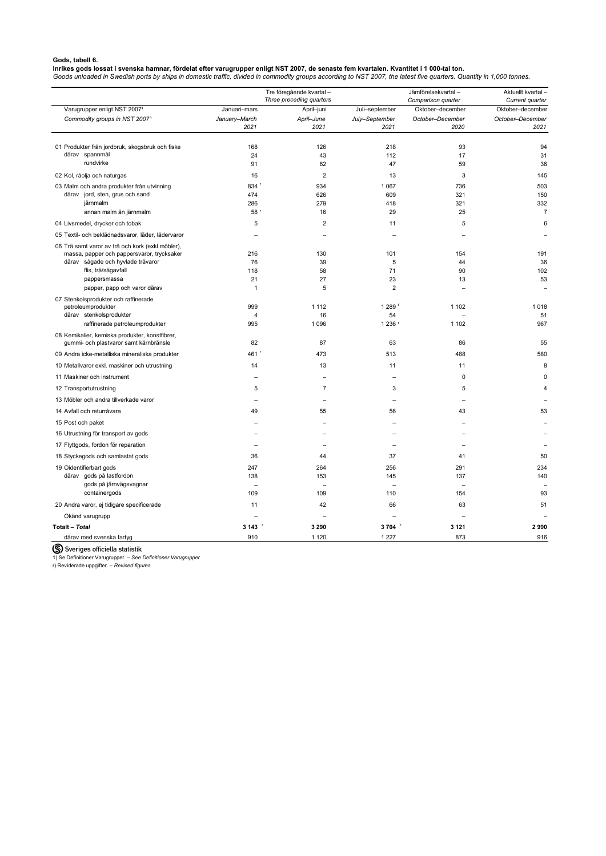## <span id="page-13-0"></span>**Gods, tabell 6.**

# **Inrikes gods lossat i svenska hamnar, fördelat efter varugrupper enligt NST 2007, de senaste fem kvartalen. Kvantitet i 1 000-tal ton.**

*Goods unloaded in Swedish ports by ships in domestic traffic, divided in commodity groups according to NST 2007, the latest five quarters. Quantity in 1,000 tonnes.*

|                                                                                          |                       | Tre föregående kvartal-<br>Three preceding quarters |                        | Jämförelsekvartal-<br>Comparison quarter | Aktuellt kvartal-<br>Current quarter |
|------------------------------------------------------------------------------------------|-----------------------|-----------------------------------------------------|------------------------|------------------------------------------|--------------------------------------|
| Varugrupper enligt NST 20071                                                             | Januari-mars          | April-juni                                          | Juli-september         | Oktober-december                         | Oktober-december                     |
| Commodity groups in NST 20071                                                            | January-March<br>2021 | April-June<br>2021                                  | July-September<br>2021 | October-December<br>2020                 | October-December<br>2021             |
|                                                                                          |                       |                                                     |                        |                                          |                                      |
| 01 Produkter från jordbruk, skogsbruk och fiske                                          | 168                   | 126                                                 | 218                    | 93                                       | 94                                   |
| därav spannmål                                                                           | 24                    | 43                                                  | 112                    | 17                                       | 31                                   |
| rundvirke                                                                                | 91                    | 62                                                  | 47                     | 59                                       | 36                                   |
| 02 Kol, råolja och naturgas                                                              | 16                    | 2                                                   | 13                     | 3                                        | 145                                  |
| 03 Malm och andra produkter från utvinning                                               | 834                   | 934                                                 | 1 0 6 7                | 736                                      | 503                                  |
| därav jord, sten, grus och sand                                                          | 474                   | 626                                                 | 609                    | 321                                      | 150                                  |
| järnmalm                                                                                 | 286                   | 279                                                 | 418                    | 321                                      | 332                                  |
| annan malm än järnmalm                                                                   | 58 r                  | 16                                                  | 29                     | 25                                       | $\overline{7}$                       |
| 04 Livsmedel, drycker och tobak                                                          | 5                     | 2                                                   | 11                     | 5                                        | 6                                    |
| 05 Textil- och beklädnadsvaror, läder, lädervaror                                        |                       |                                                     |                        |                                          |                                      |
| 06 Trä samt varor av trä och kork (exkl möbler),                                         |                       |                                                     |                        |                                          |                                      |
| massa, papper och pappersvaror, trycksaker<br>därav sågade och hyvlade trävaror          | 216                   | 130                                                 | 101                    | 154                                      | 191                                  |
| flis, trä/sågavfall                                                                      | 76<br>118             | 39<br>58                                            | 5<br>71                | 44<br>90                                 | 36<br>102                            |
| pappersmassa                                                                             | 21                    | 27                                                  | 23                     | 13                                       | 53                                   |
| papper, papp och varor därav                                                             | -1                    | 5                                                   | $\overline{2}$         |                                          |                                      |
| 07 Stenkolsprodukter och raffinerade                                                     |                       |                                                     |                        |                                          |                                      |
| petroleumprodukter                                                                       | 999                   | 1 1 1 2                                             | 1 289 $r$              | 1 1 0 2                                  | 1018                                 |
| därav stenkolsprodukter                                                                  | 4                     | 16                                                  | 54                     |                                          | 51                                   |
| raffinerade petroleumprodukter                                                           | 995                   | 1 0 9 6                                             | 1 236 r                | 1 1 0 2                                  | 967                                  |
| 08 Kemikalier, kemiska produkter, konstfibrer,<br>gummi- och plastvaror samt kärnbränsle | 82                    | 87                                                  | 63                     | 86                                       | 55                                   |
| 09 Andra icke-metalliska mineraliska produkter                                           | 461 $r$               | 473                                                 | 513                    | 488                                      | 580                                  |
| 10 Metallvaror exkl. maskiner och utrustning                                             | 14                    | 13                                                  | 11                     | 11                                       | 8                                    |
| 11 Maskiner och instrument                                                               |                       |                                                     |                        | 0                                        | 0                                    |
| 12 Transportutrustning                                                                   | 5                     | 7                                                   | 3                      | 5                                        | 4                                    |
| 13 Möbler och andra tillverkade varor                                                    |                       |                                                     |                        |                                          |                                      |
| 14 Avfall och returråvara                                                                | 49                    | 55                                                  | 56                     | 43                                       | 53                                   |
| 15 Post och paket                                                                        |                       |                                                     |                        |                                          |                                      |
| 16 Utrustning för transport av gods                                                      |                       |                                                     |                        |                                          |                                      |
| 17 Flyttgods, fordon för reparation                                                      |                       |                                                     |                        |                                          |                                      |
| 18 Styckegods och samlastat gods                                                         | 36                    | 44                                                  | 37                     | 41                                       | 50                                   |
| 19 Oidentifierbart gods                                                                  | 247                   | 264                                                 | 256                    | 291                                      | 234                                  |
| därav gods på lastfordon                                                                 | 138                   | 153                                                 | 145                    | 137                                      | 140                                  |
| gods på järnvägsvagnar                                                                   |                       |                                                     |                        |                                          |                                      |
| containergods                                                                            | 109                   | 109                                                 | 110                    | 154                                      | 93                                   |
| 20 Andra varor, ej tidigare specificerade                                                | 11                    | 42                                                  | 66                     | 63                                       | 51                                   |
| Okänd varugrupp                                                                          |                       |                                                     |                        |                                          |                                      |
| Totalt - Total                                                                           | 3 143 「               | 3 2 9 0                                             | 3704                   | 3 1 2 1                                  | 2990                                 |
| därav med svenska fartyg                                                                 | 910                   | 1 1 2 0                                             | 1 2 2 7                | 873                                      | 916                                  |

(S) Sveriges officiella statistik

1) Se Definitioner Varugrupper. – *See Definitioner Varugrupper*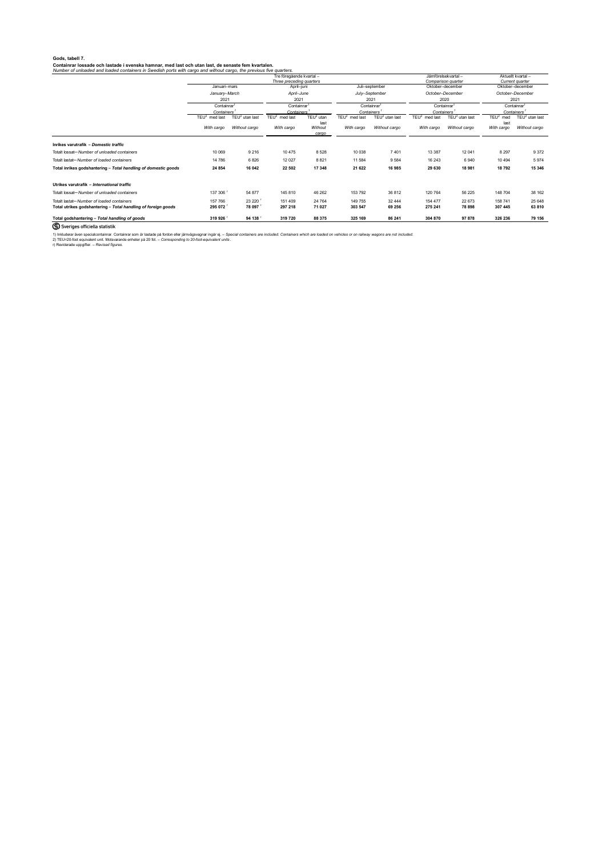# <span id="page-14-0"></span>**Gods, tabell 7.**

# **Containrar lossade och lastade i svenska hamnar, med last och utan last, de senaste fem kvartalen.**

*Number of unloaded and loaded containers in Swedish ports with cargo and without cargo, the previous five quarters.*

|                                                                | Tre föregående kvartal-<br>Three preceding quarters                            |                  |                                                                           |                          |                                                                                                | Jämförelsekvartal-<br>Comparison quarter |                                                                                       | Aktuellt kvartal-<br>Current quarter |                                                                                                    |                    |
|----------------------------------------------------------------|--------------------------------------------------------------------------------|------------------|---------------------------------------------------------------------------|--------------------------|------------------------------------------------------------------------------------------------|------------------------------------------|---------------------------------------------------------------------------------------|--------------------------------------|----------------------------------------------------------------------------------------------------|--------------------|
|                                                                | Januari-mars<br>January–March<br>2021<br>Containrar <sup>1</sup><br>Containers |                  | April-juni<br>April-June<br>2021<br>Containrar<br>Containers <sup>3</sup> |                          | Juli-september<br>July-September<br>2021<br>Containrar <sup>1</sup><br>Containers <sup>1</sup> |                                          | Oktober-december<br>October-December<br>2020<br>Containrar<br>Containers <sup>1</sup> |                                      | Oktober-december<br>October-December<br>2021<br>Containrar <sup>1</sup><br>Containers <sup>1</sup> |                    |
|                                                                |                                                                                |                  |                                                                           |                          |                                                                                                |                                          |                                                                                       |                                      |                                                                                                    |                    |
|                                                                |                                                                                |                  |                                                                           |                          |                                                                                                |                                          |                                                                                       |                                      |                                                                                                    |                    |
|                                                                |                                                                                |                  |                                                                           |                          |                                                                                                |                                          |                                                                                       |                                      |                                                                                                    |                    |
|                                                                | TEU <sup>2</sup><br>med last                                                   | $TEU2$ utan last | TEU $^2$ med last                                                         | TEU $^2$ utan            | TEU <sup>2</sup><br>med last                                                                   | $TEU2$ utan last                         | TEU $^2$ med last                                                                     | TEU $^2$ utan last                   | $TEU2$ med                                                                                         | TEU $^2$ utan last |
|                                                                | With cargo                                                                     | Without cargo    | With cargo                                                                | last<br>Without<br>cargo | With cargo                                                                                     | Without cargo                            | With cargo                                                                            | Without cargo                        | last<br>With cargo                                                                                 | Without cargo      |
| Inrikes varutrafik - Domestic traffic                          |                                                                                |                  |                                                                           |                          |                                                                                                |                                          |                                                                                       |                                      |                                                                                                    |                    |
| Totalt lossat-Number of unloaded containers                    | 10 069                                                                         | 9 2 1 6          | 10 475                                                                    | 8528                     | 10 038                                                                                         | 7401                                     | 13 3 87                                                                               | 12 041                               | 8 2 9 7                                                                                            | 9 3 7 2            |
| Totalt lastat-Number of loaded containers                      | 14 786                                                                         | 6826             | 12 0 27                                                                   | 8821                     | 11 584                                                                                         | 9 5 8 4                                  | 16 243                                                                                | 6940                                 | 10 4 94                                                                                            | 5974               |
| Total inrikes godshantering - Total handling of domestic goods | 24 854                                                                         | 16 042           | 22 502                                                                    | 17 348                   | 21 622                                                                                         | 16 985                                   | 29 630                                                                                | 18 981                               | 18792                                                                                              | 15 346             |
| Utrikes varutrafik <i>- International traffic</i>              |                                                                                |                  |                                                                           |                          |                                                                                                |                                          |                                                                                       |                                      |                                                                                                    |                    |
| Totalt lossat- Number of unloaded containers                   | 137 306                                                                        | 54 877           | 145 810                                                                   | 46 26 2                  | 153 792                                                                                        | 36 812                                   | 120 764                                                                               | 56 225                               | 148 704                                                                                            | 38 162             |
| Totalt lastat-Number of loaded containers                      | 157 766                                                                        | 23 220           | 151 409                                                                   | 24 764                   | 149 755                                                                                        | 32 444                                   | 154 477                                                                               | 22 673                               | 158 741                                                                                            | 25 648             |
| Total utrikes godshantering - Total handling of foreign goods  | 295 072                                                                        | 78 097           | 297 218                                                                   | 71 027                   | 303 547                                                                                        | 69 256                                   | 275 241                                                                               | 78 898                               | 307 445                                                                                            | 63 810             |
| Total godshantering - Total handling of goods                  | 319 926                                                                        | 94 138           | 319 720                                                                   | 88 375                   | 325 169                                                                                        | 86 241                                   | 304 870                                                                               | 97 878                               | 326 236                                                                                            | 79 156             |

S Sveriges officiella statistik

1) Inkluderar även specialcontainrar. Containrar som är lastade på fordon eller järnvägsvagnar ingår ej. - Special containers are included. Containers which are loaded on vehicles or on railway wagons are not included.

2) TEU=20-foot equivalent unit. Motsvarande enheter på 20 fot. – *Corresponding to 20-foot-equivalent units* .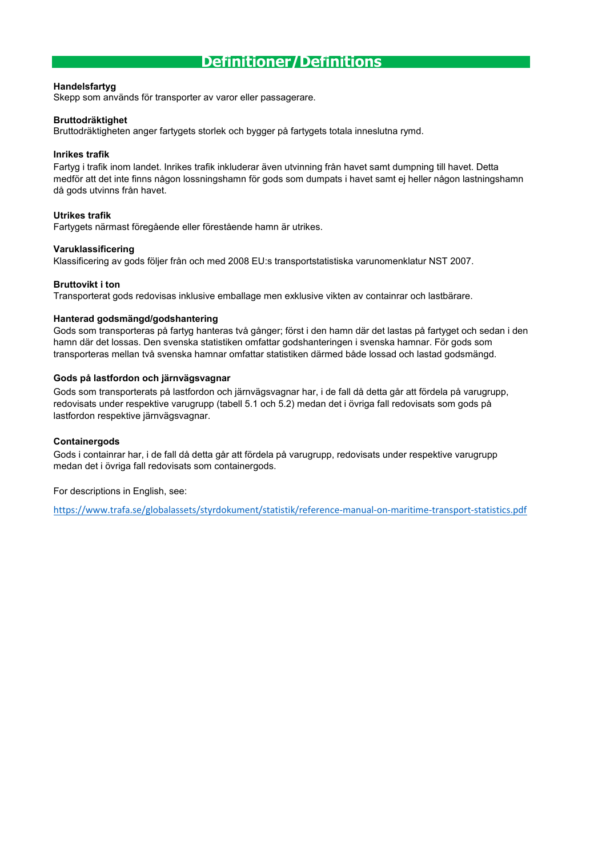# **Definitioner/Definitions**

# **Handelsfartyg**

Skepp som används för transporter av varor eller passagerare.

# **Bruttodräktighet**

Bruttodräktigheten anger fartygets storlek och bygger på fartygets totala inneslutna rymd.

# **Inrikes trafik**

Fartyg i trafik inom landet. Inrikes trafik inkluderar även utvinning från havet samt dumpning till havet. Detta medför att det inte finns någon lossningshamn för gods som dumpats i havet samt ej heller någon lastningshamn då gods utvinns från havet.

# **Utrikes trafik**

Fartygets närmast föregående eller förestående hamn är utrikes.

# <span id="page-15-0"></span>**Varuklassificering**

Klassificering av gods följer från och med 2008 EU:s transportstatistiska varunomenklatur NST 2007.

# **Bruttovikt i ton**

Transporterat gods redovisas inklusive emballage men exklusive vikten av containrar och lastbärare.

# **Hanterad godsmängd/godshantering**

Gods som transporteras på fartyg hanteras två gånger; först i den hamn där det lastas på fartyget och sedan i den hamn där det lossas. Den svenska statistiken omfattar godshanteringen i svenska hamnar. För gods som transporteras mellan två svenska hamnar omfattar statistiken därmed både lossad och lastad godsmängd.

# **Gods på lastfordon och järnvägsvagnar**

Gods som transporterats på lastfordon och järnvägsvagnar har, i de fall då detta går att fördela på varugrupp, redovisats under respektive varugrupp (tabell 5.1 och 5.2) medan det i övriga fall redovisats som gods på lastfordon respektive järnvägsvagnar.

# **Containergods**

Gods i containrar har, i de fall då detta går att fördela på varugrupp, redovisats under respektive varugrupp medan det i övriga fall redovisats som containergods.

For descriptions in English, see:

[https://ww](https://www.trafa.se/globalassets/styrdokument/statistik/reference-manual-on-maritime-transport-statistics.pdf)w.trafa.se/globalassets/styrdokument/statistik/reference-manual-on-maritime-transport-statistics.pdf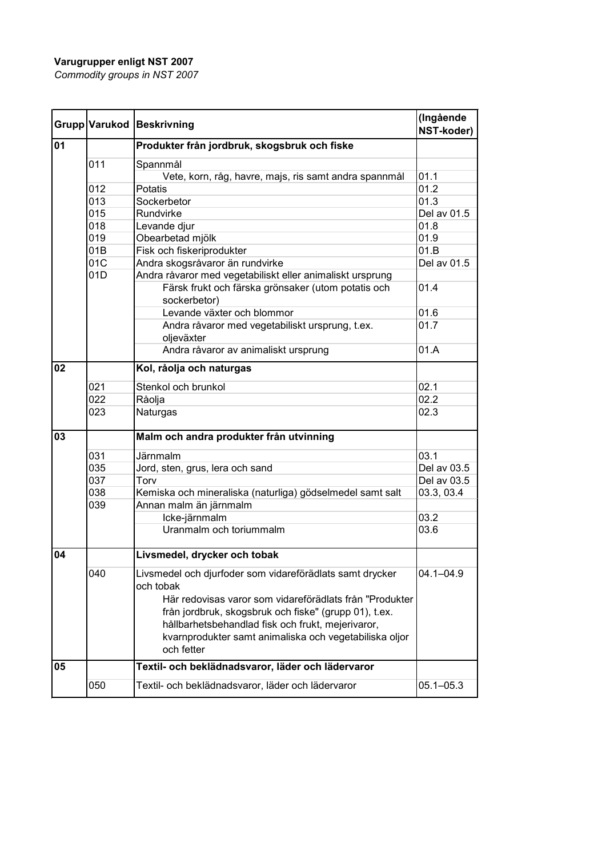# **Varugrupper enligt NST 2007**

*Commodity groups in NST 2007*

<span id="page-16-0"></span>

|    |                         | Grupp Varukod Beskrivning                                                                                                                                                                 | (Ingående<br>NST-koder) |
|----|-------------------------|-------------------------------------------------------------------------------------------------------------------------------------------------------------------------------------------|-------------------------|
| 01 |                         | Produkter från jordbruk, skogsbruk och fiske                                                                                                                                              |                         |
|    | 011                     | Spannmål                                                                                                                                                                                  |                         |
|    |                         | Vete, korn, råg, havre, majs, ris samt andra spannmål                                                                                                                                     | 01.1                    |
|    | 012                     | Potatis                                                                                                                                                                                   | 01.2                    |
|    | 013                     | Sockerbetor                                                                                                                                                                               | 01.3                    |
|    | 015                     | Rundvirke                                                                                                                                                                                 | Del av 01.5             |
|    | 018                     | Levande djur                                                                                                                                                                              | 01.8                    |
|    | 019<br>Obearbetad mjölk |                                                                                                                                                                                           | 01.9                    |
|    | 01B                     | Fisk och fiskeriprodukter                                                                                                                                                                 | 01.B                    |
|    | 01C                     | Andra skogsråvaror än rundvirke                                                                                                                                                           | Del av 01.5             |
|    | 01D                     | Andra råvaror med vegetabiliskt eller animaliskt ursprung                                                                                                                                 |                         |
|    |                         | Färsk frukt och färska grönsaker (utom potatis och<br>sockerbetor)                                                                                                                        | 01.4                    |
|    |                         | Levande växter och blommor                                                                                                                                                                | 01.6                    |
|    |                         | Andra råvaror med vegetabiliskt ursprung, t.ex.<br>oljeväxter                                                                                                                             | 01.7                    |
|    |                         | Andra råvaror av animaliskt ursprung                                                                                                                                                      | 01.A                    |
| 02 |                         | Kol, råolja och naturgas                                                                                                                                                                  |                         |
|    | 021                     | Stenkol och brunkol                                                                                                                                                                       | 02.1                    |
|    | 022                     | Råolja                                                                                                                                                                                    | 02.2                    |
|    | 023                     | Naturgas                                                                                                                                                                                  | 02.3                    |
| 03 |                         | Malm och andra produkter från utvinning                                                                                                                                                   |                         |
|    | 031                     | <b>Järnmalm</b>                                                                                                                                                                           | 03.1                    |
|    | 035                     | Jord, sten, grus, lera och sand                                                                                                                                                           | Del av 03.5             |
|    | 037                     | Torv                                                                                                                                                                                      | Del av 03.5             |
|    | 038                     | Kemiska och mineraliska (naturliga) gödselmedel samt salt                                                                                                                                 | 03.3, 03.4              |
|    | 039                     | Annan malm än järnmalm                                                                                                                                                                    |                         |
|    |                         | Icke-järnmalm                                                                                                                                                                             | 03.2                    |
|    |                         | Uranmalm och toriummalm                                                                                                                                                                   | 03.6                    |
| 04 |                         | Livsmedel, drycker och tobak                                                                                                                                                              |                         |
|    | 040                     | Livsmedel och djurfoder som vidareförädlats samt drycker<br>och tobak<br>Här redovisas varor som vidareförädlats från "Produkter<br>från jordbruk, skogsbruk och fiske" (grupp 01), t.ex. | $04.1 - 04.9$           |
|    |                         | hållbarhetsbehandlad fisk och frukt, mejerivaror,<br>kvarnprodukter samt animaliska och vegetabiliska oljor<br>och fetter                                                                 |                         |
| 05 |                         | Textil- och beklädnadsvaror, läder och lädervaror                                                                                                                                         |                         |
|    | 050                     | Textil- och beklädnadsvaror, läder och lädervaror                                                                                                                                         | $05.1 - 05.3$           |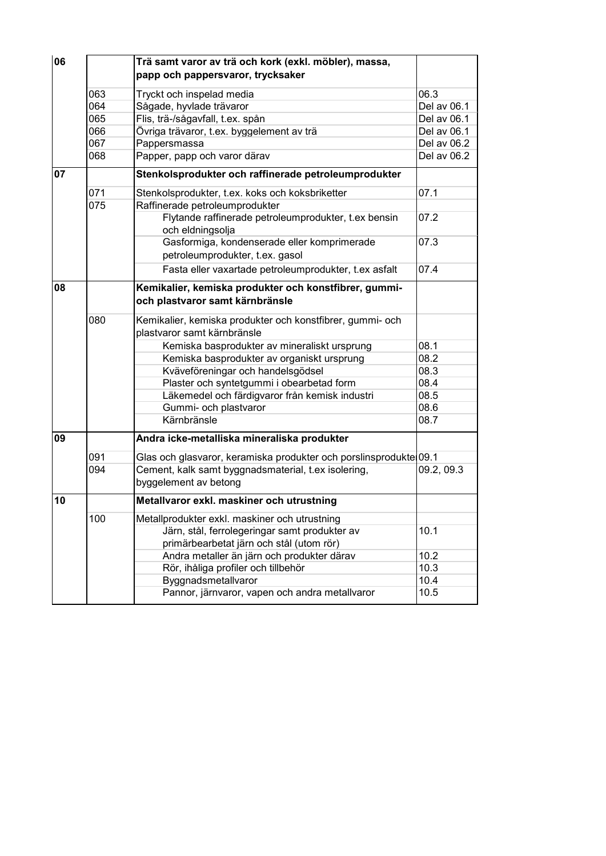| 06 |     | Trä samt varor av trä och kork (exkl. möbler), massa,                                    |             |
|----|-----|------------------------------------------------------------------------------------------|-------------|
|    |     | papp och pappersvaror, trycksaker                                                        |             |
|    | 063 | Tryckt och inspelad media                                                                | 06.3        |
|    | 064 | Sågade, hyvlade trävaror                                                                 | Del av 06.1 |
|    | 065 | Flis, trä-/sågavfall, t.ex. spån                                                         | Del av 06.1 |
|    | 066 | Övriga trävaror, t.ex. byggelement av trä                                                | Del av 06.1 |
|    | 067 | Pappersmassa                                                                             | Del av 06.2 |
|    | 068 | Papper, papp och varor därav                                                             | Del av 06.2 |
| 07 |     | Stenkolsprodukter och raffinerade petroleumprodukter                                     |             |
|    | 071 | Stenkolsprodukter, t.ex. koks och koksbriketter                                          | 07.1        |
|    | 075 | Raffinerade petroleumprodukter                                                           |             |
|    |     | Flytande raffinerade petroleumprodukter, t.ex bensin<br>och eldningsolja                 | 07.2        |
|    |     | Gasformiga, kondenserade eller komprimerade<br>petroleumprodukter, t.ex. gasol           | 07.3        |
|    |     | Fasta eller vaxartade petroleumprodukter, t.ex asfalt                                    | 07.4        |
| 08 |     | Kemikalier, kemiska produkter och konstfibrer, gummi-<br>och plastvaror samt kärnbränsle |             |
|    | 080 | Kemikalier, kemiska produkter och konstfibrer, gummi- och<br>plastvaror samt kärnbränsle |             |
|    |     | Kemiska basprodukter av mineraliskt ursprung                                             | 08.1        |
|    |     | Kemiska basprodukter av organiskt ursprung                                               | 08.2        |
|    |     | Kväveföreningar och handelsgödsel                                                        | 08.3        |
|    |     | Plaster och syntetgummi i obearbetad form                                                | 08.4        |
|    |     | Läkemedel och färdigvaror från kemisk industri                                           | 08.5        |
|    |     | Gummi- och plastvaror                                                                    | 08.6        |
|    |     | Kärnbränsle                                                                              | 08.7        |
| 09 |     | Andra icke-metalliska mineraliska produkter                                              |             |
|    | 091 | Glas och glasvaror, keramiska produkter och porslinsprodukte 09.1                        |             |
|    | 094 | Cement, kalk samt byggnadsmaterial, t.ex isolering,<br>byggelement av betong             | 09.2, 09.3  |
| 10 |     | Metallvaror exkl. maskiner och utrustning                                                |             |
|    | 100 | Metallprodukter exkl. maskiner och utrustning                                            |             |
|    |     | Järn, stål, ferrolegeringar samt produkter av                                            | 10.1        |
|    |     | primärbearbetat järn och stål (utom rör)                                                 |             |
|    |     | Andra metaller än järn och produkter därav                                               | 10.2        |
|    |     | Rör, ihåliga profiler och tillbehör                                                      | 10.3        |
|    |     | Byggnadsmetallvaror                                                                      | 10.4        |
|    |     | Pannor, järnvaror, vapen och andra metallvaror                                           | 10.5        |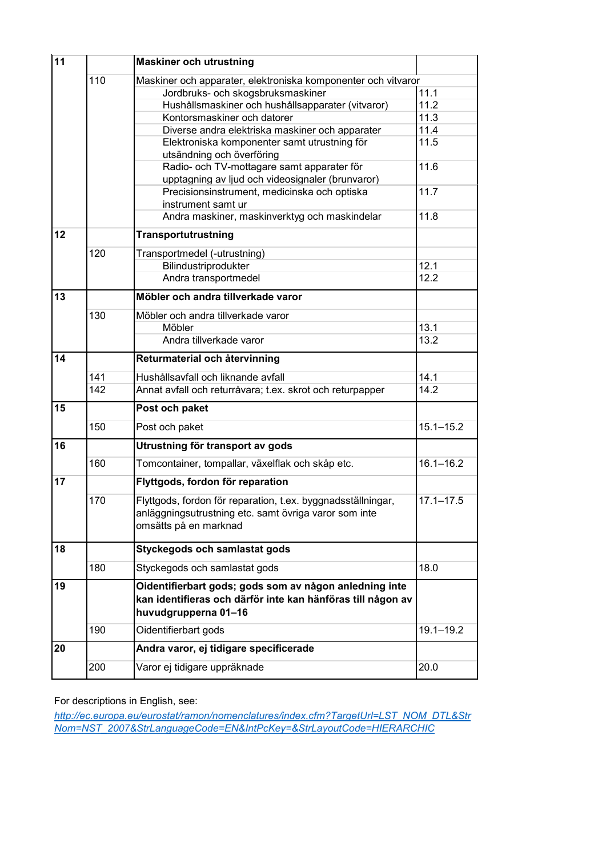| 11              |     | <b>Maskiner och utrustning</b>                                                                                                                 |               |  |  |  |
|-----------------|-----|------------------------------------------------------------------------------------------------------------------------------------------------|---------------|--|--|--|
|                 | 110 | Maskiner och apparater, elektroniska komponenter och vitvaror                                                                                  |               |  |  |  |
|                 |     | Jordbruks- och skogsbruksmaskiner                                                                                                              | 11.1          |  |  |  |
|                 |     | Hushållsmaskiner och hushållsapparater (vitvaror)                                                                                              | 11.2          |  |  |  |
|                 |     | Kontorsmaskiner och datorer                                                                                                                    | 11.3          |  |  |  |
|                 |     | Diverse andra elektriska maskiner och apparater                                                                                                | 11.4          |  |  |  |
|                 |     | Elektroniska komponenter samt utrustning för<br>utsändning och överföring                                                                      | 11.5          |  |  |  |
|                 |     | Radio- och TV-mottagare samt apparater för<br>upptagning av ljud och videosignaler (brunvaror)                                                 | 11.6          |  |  |  |
|                 |     | Precisionsinstrument, medicinska och optiska<br>instrument samt ur                                                                             | 11.7          |  |  |  |
|                 |     | Andra maskiner, maskinverktyg och maskindelar                                                                                                  | 11.8          |  |  |  |
| 12              |     | Transportutrustning                                                                                                                            |               |  |  |  |
|                 | 120 | Transportmedel (-utrustning)                                                                                                                   |               |  |  |  |
|                 |     | Bilindustriprodukter                                                                                                                           | 12.1          |  |  |  |
|                 |     | Andra transportmedel                                                                                                                           | 12.2          |  |  |  |
| 13              |     | Möbler och andra tillverkade varor                                                                                                             |               |  |  |  |
|                 | 130 | Möbler och andra tillverkade varor                                                                                                             |               |  |  |  |
|                 |     | Möbler                                                                                                                                         | 13.1          |  |  |  |
|                 |     | Andra tillverkade varor                                                                                                                        | 13.2          |  |  |  |
| $\overline{14}$ |     | Returmaterial och återvinning                                                                                                                  |               |  |  |  |
|                 | 141 | Hushållsavfall och liknande avfall                                                                                                             | 14.1          |  |  |  |
|                 | 142 | Annat avfall och returråvara; t.ex. skrot och returpapper                                                                                      | 14.2          |  |  |  |
| 15              |     | Post och paket                                                                                                                                 |               |  |  |  |
|                 | 150 | Post och paket                                                                                                                                 | $15.1 - 15.2$ |  |  |  |
| 16              |     | Utrustning för transport av gods                                                                                                               |               |  |  |  |
|                 | 160 | Tomcontainer, tompallar, växelflak och skåp etc.                                                                                               | $16.1 - 16.2$ |  |  |  |
| 17              |     | Flyttgods, fordon för reparation                                                                                                               |               |  |  |  |
|                 | 170 | Flyttgods, fordon för reparation, t.ex. byggnadsställningar,<br>anläggningsutrustning etc. samt övriga varor som inte<br>omsätts på en marknad | $17.1 - 17.5$ |  |  |  |
| 18              |     | Styckegods och samlastat gods                                                                                                                  |               |  |  |  |
|                 | 180 | Styckegods och samlastat gods                                                                                                                  | 18.0          |  |  |  |
| 19              |     | Oidentifierbart gods; gods som av någon anledning inte<br>kan identifieras och därför inte kan hänföras till någon av<br>huvudgrupperna 01-16  |               |  |  |  |
|                 | 190 | Oidentifierbart gods                                                                                                                           | $19.1 - 19.2$ |  |  |  |
| 20              |     | Andra varor, ej tidigare specificerade                                                                                                         |               |  |  |  |
|                 | 200 | Varor ej tidigare uppräknade                                                                                                                   | 20.0          |  |  |  |

For descriptions in English, see: